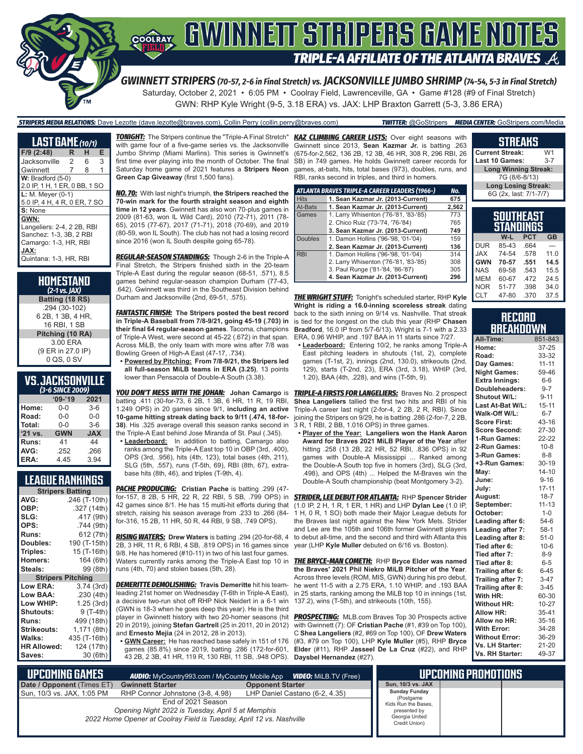

*GWINNETT STRIPERS (70-57, 2-6 in Final Stretch) vs. JACKSONVILLE JUMBO SHRIMP (74-54, 5-3 in Final Stretch)* Saturday, October 2, 2021 • 6:05 PM • Coolray Field, Lawrenceville, GA • Game #128 (#9 of Final Stretch) GWN: RHP Kyle Wright (9-5, 3.18 ERA) vs. JAX: LHP Braxton Garrett (5-3, 3.86 ERA)

*STRIPERS MEDIA RELATIONS:* Dave Lezotte (dave.lezotte@braves.com), Collin Perry (collin.perry@braves.com) *TWITTER:* @GoStripers *MEDIA CENTER:* GoStripers.com/Media

| LAST GAME (10/1)                                                                                                         |   |   |   |
|--------------------------------------------------------------------------------------------------------------------------|---|---|---|
| F/9 (2:48)                                                                                                               | R | н | Е |
| Jacksonville                                                                                                             | 2 | 6 | 3 |
| Gwinnett                                                                                                                 | 7 | 8 | 1 |
| $W:$ Bradford $(5-0)$                                                                                                    |   |   |   |
| 2.0 IP, 1 H, 1 ER, 0 BB, 1 SO                                                                                            |   |   |   |
| $L: M.$ Meyer $(0-1)$<br>5.0 IP, 4 H, 4 R, 0 ER, 7 SO                                                                    |   |   |   |
| S: None                                                                                                                  |   |   |   |
| GWN:<br>Langeliers: 2-4, 2 2B, RBI<br>Sanchez: 1-3, 3B, 2 RBI<br>Camargo: 1-3, HR, RBI<br>JAX:<br>Quintana: 1-3, HR, RBI |   |   |   |

| <b>HOMESTAND</b><br>$(2-1)$ vs. $IAX)$ |
|----------------------------------------|
| Batting (18 RS)                        |
| .294 (30-102)<br>6 2B, 1 3B, 4 HR,     |
| 16 RBI. 1 SB                           |
| Pitching (10 RA)                       |
| 3.00 ERA                               |
| (9 ER in 27.0 IP)                      |
| 0 QS, 0 SV                             |

#### **VS. JACKSONVILLE**

| (3-6 SINCE 2009)  |            |            |  |  |  |  |
|-------------------|------------|------------|--|--|--|--|
| $'09-'19$<br>2021 |            |            |  |  |  |  |
| Home:             | 0-0        | $3-6$      |  |  |  |  |
| Road:             | $0 - 0$    | $0 - 0$    |  |  |  |  |
| Total:            | $0 - 0$    | $3-6$      |  |  |  |  |
| '21 vs.           | <b>GWN</b> | <b>JAX</b> |  |  |  |  |
| Runs:             | 41         | 44         |  |  |  |  |
| AVG:              | .252       | .266       |  |  |  |  |
| ERA:              | 4.45       | 3.94       |  |  |  |  |

#### **LEAGUE RANKINGS**

| <b>Stripers Batting</b>  |               |  |  |  |  |
|--------------------------|---------------|--|--|--|--|
| AVG:                     | .246 (T-10th) |  |  |  |  |
| OBP:                     | .327 (14th)   |  |  |  |  |
| SLG:                     | .417 (9th)    |  |  |  |  |
| OPS:                     | .744 (9th)    |  |  |  |  |
| <b>Runs:</b>             | 612 (7th)     |  |  |  |  |
| Doubles:                 | 190 (T-15th)  |  |  |  |  |
| Triples:                 | 15 (T-16th)   |  |  |  |  |
| Homers:                  | 164 (6th)     |  |  |  |  |
| Steals:                  | 99 (8th)      |  |  |  |  |
|                          |               |  |  |  |  |
| <b>Stripers Pitching</b> |               |  |  |  |  |
| <b>Low ERA:</b>          | 3.74(3rd)     |  |  |  |  |
| Low BAA:                 | .230(4th)     |  |  |  |  |
| Low WHIP:                | 1.25 (3rd)    |  |  |  |  |
| <b>Shutouts:</b>         | 9 (T-4th)     |  |  |  |  |
| <b>Runs:</b>             | 499 (18th)    |  |  |  |  |
| Strikeouts:              | 1,171 (8th)   |  |  |  |  |
| Walks:                   | 435 (T-16th)  |  |  |  |  |
| <b>HR Allowed:</b>       | 124 (17th)    |  |  |  |  |

 **UPCOMING GAMES** *AUDIO:* MyCountry993.com / MyCountry Mobile App *VIDEO:* MiLB.TV (Free) **Date / Opponent (Times E** Sun, 10/3 vs. JAX, 1:05 PM

*TONIGHT:* The Stripers continue the "Triple-A Final Stretch" *KAZ CLIMBING CAREER LISTS:* Over eight seasons with with game four of a five-game series vs. the Jacksonville Jumbo Shrimp (Miami Marlins). This series is Gwinnett's first time ever playing into the month of October. The final Saturday home game of 2021 features a **Stripers Neon Green Cap Giveaway** (first 1,500 fans).

*NO. 70:* With last night's triumph, **the Stripers reached the 70-win mark for the fourth straight season and eighth time in 12 years**. Gwinnett has also won 70-plus games in 2009 (81-63, won IL Wild Card), 2010 (72-71), 2011 (78- 65), 2015 (77-67), 2017 (71-71), 2018 (70-69), and 2019 (80-59, won IL South). The club has not had a losing record since 2016 (won IL South despite going 65-78).

*REGULAR-SEASON STANDINGS:* Though 2-6 in the Triple-A Final Stretch, the Stripers finished sixth in the 20-team Triple-A East during the regular season (68-51, .571), 8.5 games behind regular-season champion Durham (77-43, .642). Gwinnett was third in the Southeast Division behind Durham and Jacksonville (2nd, 69-51, .575).

*FANTASTIC FINISH:* **The Stripers posted the best record in Triple-A Baseball from 7/8-9/21, going 45-19 (.703) in their final 64 regular-season games**. Tacoma, champions of Triple-A West, were second at 45-22 (.672) in that span. Across MiLB, the only team with more wins after 7/8 was Bowling Green of High-A East (47-17, .734).

**• Powered by Pitching: From 7/8-9/21, the Stripers led all full-season MiLB teams in ERA (3.25)**, 13 points

lower than Pensacola of Double-A South (3.38).

*YOU DON'T MESS WITH THE JOHAN:* **Johan Camargo** is batting .411 (30-for-73, 6 2B, 1 3B, 6 HR, 11 R, 19 RBI, 1.249 OPS) in 20 games since 9/1, **including an active 10-game hitting streak dating back to 9/11 (.474, 18-for-38)**. His .325 average overall this season ranks second in the Triple-A Fast behind Jose Miranda of St. Paul (.345).

**• Leaderboard:** In addition to batting, Camargo also ranks among the Triple-A East top 10 in OBP (3rd, .400), OPS (3rd, .956), hits (4th, 123), total bases (4th, 211), SLG (5th, .557), runs (T-5th, 69), RBI (8th, 67), extrabase hits (8th, 46), and triples (T-9th, 4).

*PACHE PRODUCING:* **Cristian Pache** is batting .299 (47 for-157, 8 2B, 5 HR, 22 R, 22 RBI, 5 SB, .799 OPS) in 42 games since 8/1. He has 15 multi-hit efforts during that (1.0 IP, 2 H, 1 R, 1 ER, 1 HR) and LHP **Dylan Lee** (1.0 IP, stretch, raising his season average from .233 to .266 (84 for-316, 15 2B, 11 HR, 50 R, 44 RBI, 9 SB, .749 OPS).

*RISING WATERS:* **Drew Waters** is batting .294 (20-for-68, 4 2B, 3 HR, 11 R, 6 RBI, 4 SB, .819 OPS) in 16 games since 9/8. He has homered (#10-11) in two of his last four games. Waters currently ranks among the Triple-A East top 10 in runs (4th, 70) and stolen bases (5th, 28).

*DEMERITTE DEMOLISHING:* **Travis Demeritte** hit his teamleading 21st homer on Wednesday (T-6th in Triple-A East), a decisive two-run shot off RHP Nick Neidert in a 6-1 win (GWN is 18-3 when he goes deep this year). He is the third player in Gwinnett history with two 20-homer seasons (hit *PROSPECTING:* MLB.com Braves Top 30 Prospects active 20 in 2019), joining **Stefan Gartrell** (25 in 2011, 20 in 2012) and **Ernesto Mejia** (24 in 2012, 28 in 2013).

**• GWN Career:** He has reached base safely in 151 of 176 games (85.8%) since 2019, batting .286 (172-for-601, 43 2B, 2 3B, 41 HR, 119 R, 130 RBI, 11 SB, .948 OPS). **Daysbel Hernandez** (#27).

Gwinnett since 2013, **Sean Kazmar Jr.** is batting .263 (675-for-2,562, 136 2B, 12 3B, 46 HR, 308 R, 296 RBI, 26 SB) in 749 games. He holds Gwinnett career records for games, at-bats, hits, total bases (973), doubles, runs, and RBI, ranks second in triples, and third in homers.

|                | ATLANTA BRAVES TRIPLE-A CAREER LEADERS (1966-) | No.   |
|----------------|------------------------------------------------|-------|
| <b>Hits</b>    | 1. Sean Kazmar Jr. (2013-Current)              | 675   |
| At-Bats        | 1. Sean Kazmar Jr. (2013-Current)              | 2,562 |
| Games          | 1. Larry Whisenton ('76-'81, '83-'85)          | 773   |
|                | 2. Chico Ruiz ('73-'74, '76-'84)               | 765   |
|                | 3. Sean Kazmar Jr. (2013-Current)              | 749   |
| <b>Doubles</b> | 1. Damon Hollins ('96-'98, '01-'04)            | 159   |
|                | 2. Sean Kazmar Jr. (2013-Current)              | 136   |
| <b>RBI</b>     | 1. Damon Hollins ('96-'98, '01-'04)            | 314   |
|                | 2. Larry Whisenton ('76-'81, '83-'85)          | 308   |
|                | 3. Paul Runge ('81-'84, '86-'87)               | 305   |
|                | 4. Sean Kazmar Jr. (2013-Current)              | 296   |

*THE WRIGHT STUFF:* Tonight's scheduled starter, RHP **Kyle Wright is riding a 16.0-inning scoreless streak** dating back to the sixth inning on 9/14 vs. Nashville. That streak is tied for the longest on the club this year (RHP **Chasen Bradford**, 16.0 IP from 5/7-6/13). Wright is 7-1 with a 2.33 ERA, 0.96 WHIP, and .197 BAA in 11 starts since 7/27.

**• Leaderboard:** Entering 10/2, he ranks among Triple-A East pitching leaders in shutouts (1st, 2), complete games (T-1st, 2), innings (2nd, 130.0), strikeouts (2nd, 129), starts (T-2nd, 23), ERA (3rd, 3.18), WHIP (3rd, 1.20), BAA (4th, .228), and wins (T-5th, 9).

*TRIPLE-A FIRSTS FOR LANGELIERS:* Braves No. 2 prospect **Shea Langeliers** tallied the first two hits and RBI of his Triple-A career last night (2-for-4, 2 2B, 2 R, RBI). Since joining the Stripers on 9/29, he is batting .286 (2-for-7, 2 2B, 3 R, 1 RBI, 2 BB, 1.016 OPS) in three games.

**• Player of the Year: Langeliers won the Hank Aaron Award for Braves 2021 MiLB Player of the Year** after hitting .258 (13 2B, 22 HR, 52 RBI, .836 OPS) in 92 games with Double-A Mississippi ... Ranked among the Double-A South top five in homers (3rd), SLG (3rd, .498), and OPS (4th) ... Helped the M-Braves win the Double-A South championship (beat Montgomery 3-2).

*STRIDER, LEE DEBUT FOR ATLANTA:* RHP **Spencer Strider** 1 H, 0 R, 1 SO) both made their Major League debuts for the Braves last night against the New York Mets. Strider and Lee are the 105th and 106th former Gwinnett players to debut all-time, and the second and third with Atlanta this year (LHP **Kyle Muller** debuted on 6/16 vs. Boston).

*THE BRYCE-MAN COMETH:* RHP **Bryce Elder was named the Braves' 2021 Phil Niekro MiLB Pitcher of the Year**. Across three levels (ROM, MIS, GWN) during his pro debut, he went 11-5 with a 2.75 ERA, 1.10 WHIP, and .193 BAA in 25 starts, ranking among the MiLB top 10 in innings (1st, 137.2), wins (T-5th), and strikeouts (10th, 155).

with Gwinnett (7): OF **Cristian Pache** (#1, #39 on Top 100), C **Shea Langeliers** (#2, #69 on Top 100), OF **Drew Waters** (#3, #79 on Top 100), LHP **Kyle Muller** (#5), RHP **Bryce Elder** (#11), RHP **Jasseel De La Cruz** (#22), and RHP

#### **STREAKS**

| <b>Current Streak:</b>      | W1      |
|-----------------------------|---------|
| <b>Last 10 Games:</b>       | $3 - 7$ |
| <b>Long Winning Streak:</b> |         |
| 7G (8/6-8/13)               |         |
| <b>Long Losing Streak:</b>  |         |
| 6G (2x, last: 7/1-7/7)      |         |

| SOUTHEAST<br><b>STANDINGS</b> |       |            |           |  |  |
|-------------------------------|-------|------------|-----------|--|--|
|                               | W-L   | <b>PCT</b> | <b>GB</b> |  |  |
| <b>DUR</b>                    | 85-43 | .664       |           |  |  |
| <b>XAL</b>                    | 74-54 | .578       | 11.0      |  |  |
| <b>GWN</b>                    | 70-57 | .551       | 14.5      |  |  |
| <b>NAS</b>                    | 69-58 | .543       | 15.5      |  |  |
| <b>MEM</b>                    | 60-67 | .472       | 24.5      |  |  |
| <b>NOR</b>                    | 51-77 | .398       | 34.0      |  |  |

#### **RECORD BREAKDOWN**

CLT 47-80 .370 37.5

| All-Time:             | 851-843   |
|-----------------------|-----------|
| Home:                 | 37-25     |
| Road:                 | 33-32     |
| Day Games:            | $11 - 11$ |
| <b>Night Games:</b>   | 59-46     |
| <b>Extra Innings:</b> | $6-6$     |
| Doubleheaders:        | $9 - 7$   |
| Shutout W/L:          | $9 - 11$  |
| Last At-Bat W/L:      | 15-11     |
| Walk-Off W/L:         | $6 - 7$   |
| <b>Score First:</b>   | 43-16     |
| <b>Score Second:</b>  | 27-30     |
| 1-Run Games:          | 22-22     |
| 2-Run Games:          | $10 - 8$  |
| 3-Run Games:          | $8 - 8$   |
| +3-Run Games:         | $30 - 19$ |
| May:                  | $14 - 10$ |
| June:                 | $9 - 16$  |
| July:                 | $17 - 11$ |
| August:               | $18 - 7$  |
| September:            | $11 - 13$ |
| October:              | $1 - 0$   |
| Leading after 6:      | $54-6$    |
| Leading after 7:      | $58-1$    |
| Leading after 8:      | $51-0$    |
| Tied after 6:         | $10-6$    |
| Tied after 7:         | $8 - 9$   |
| Tied after 8:         | $6-5$     |
| Trailing after 6:     | $6 - 45$  |
| Trailing after 7:     | $3-47$    |
| Trailing after 8:     | $3 - 45$  |
| With HR:              | 60-30     |
| <b>Without HR:</b>    | $10 - 27$ |
| <b>Allow HR:</b>      | 35-41     |
| Allow no HR:          | 35-16     |
| <b>With Error:</b>    | 34-28     |
| <b>Without Error:</b> | 36-29     |
| Vs. LH Starter:       | $21 - 20$ |
| Vs. RH Starter:       | 49-37     |

| MES      |                                                                      | <b>AUDIO:</b> MyCountry993.com / MyCountry Mobile App <b>VIDEO:</b> MiLB.TV (Free) |                                  | <b>AIPCOMING PROMOTIONS</b> |  |
|----------|----------------------------------------------------------------------|------------------------------------------------------------------------------------|----------------------------------|-----------------------------|--|
| imes ET) | <b>Gwinnett Starter</b>                                              | <b>Opponent Starter</b>                                                            | Sun, 10/3 vs. JAX                |                             |  |
| :05 PM   | RHP Connor Johnstone (3-8, 4.98)                                     | LHP Daniel Castano (6-2, 4.35)                                                     | <b>Sunday Funday</b>             |                             |  |
|          | End of 2021 Season                                                   |                                                                                    | (Postgame<br>Kids Run the Bases, |                             |  |
|          | Opening Night 2022 is Tuesday, April 5 at Memphis                    |                                                                                    | presented by                     |                             |  |
|          | 2022 Home Opener at Coolray Field is Tuesday, April 12 vs. Nashville |                                                                                    | Georgia United<br>Credit Union)  |                             |  |
|          |                                                                      |                                                                                    |                                  |                             |  |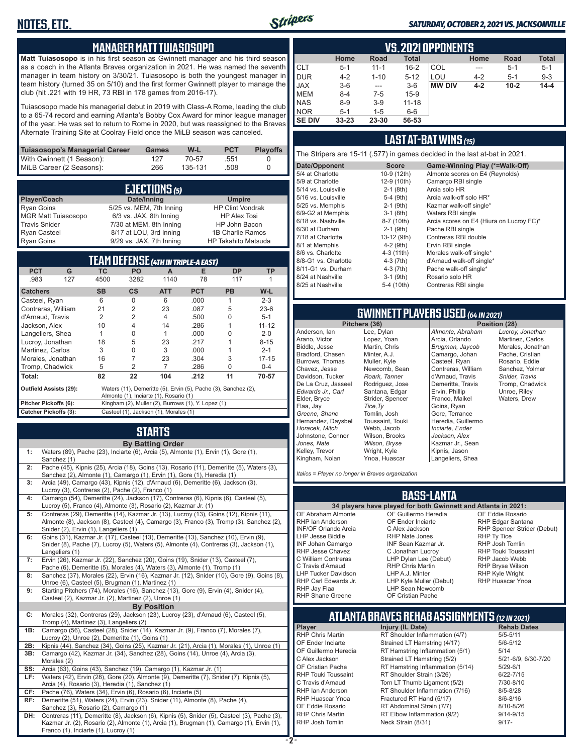#### **MANAGER MATT TUIASOSOPO**

**Matt Tuiasosopo** is in his first season as Gwinnett manager and his third season as a coach in the Atlanta Braves organization in 2021. He was named the seventh manager in team history on 3/30/21. Tuiasosopo is both the youngest manager in team history (turned 35 on 5/10) and the first former Gwinnett player to manage the club (hit .221 with 19 HR, 73 RBI in 178 games from 2016-17).

Tuiasosopo made his managerial debut in 2019 with Class-A Rome, leading the club to a 65-74 record and earning Atlanta's Bobby Cox Award for minor league manager of the year. He was set to return to Rome in 2020, but was reassigned to the Braves Alternate Training Site at Coolray Field once the MiLB season was canceled.

| Tuiasosopo's Managerial Career | Games | W-L     | <b>PCT</b> | <b>Plavoffs</b> |
|--------------------------------|-------|---------|------------|-----------------|
| With Gwinnett (1 Season):      | 127   | 70-57   | .551       |                 |
| MiLB Career (2 Seasons):       | 266   | 135-131 | .508       |                 |

| <b>EJECTIONS</b> (5) |                          |                            |  |  |  |
|----------------------|--------------------------|----------------------------|--|--|--|
| Player/Coach         | Date/Inning              | <b>Umpire</b>              |  |  |  |
| <b>Ryan Goins</b>    | 5/25 vs. MEM, 7th Inning | <b>HP Clint Vondrak</b>    |  |  |  |
| MGR Matt Tuiasosopo  | 6/3 vs. JAX, 8th Inning  | <b>HP Alex Tosi</b>        |  |  |  |
| <b>Travis Snider</b> | 7/30 at MEM, 8th Inning  | HP John Bacon              |  |  |  |
| <b>Ryan Casteel</b>  | 8/17 at LOU, 3rd Inning  | 1B Charlie Ramos           |  |  |  |
| <b>Ryan Goins</b>    | 9/29 vs. JAX, 7th Inning | <b>HP Takahito Matsuda</b> |  |  |  |

| TEAM DEFENSE (4TH IN TRIPLE-A EAST)                                                                                                       |           |                                                    |                |            |           |           |
|-------------------------------------------------------------------------------------------------------------------------------------------|-----------|----------------------------------------------------|----------------|------------|-----------|-----------|
| <b>PCT</b><br>G                                                                                                                           | <b>TC</b> | <b>PO</b>                                          | A              | Е          | <b>DP</b> | <b>TP</b> |
| .983<br>127                                                                                                                               | 4500      | 3282                                               | 1140           | 78         | 117       |           |
| <b>Catchers</b>                                                                                                                           | <b>SB</b> | $\mathsf{cs}$                                      | <b>ATT</b>     | <b>PCT</b> | <b>PB</b> | $W-L$     |
| Casteel, Ryan                                                                                                                             | 6         | O                                                  | 6              | .000       | 1         | $2 - 3$   |
| Contreras, William                                                                                                                        | 21        | 2                                                  | 23             | .087       | 5         | $23-6$    |
| d'Arnaud, Travis                                                                                                                          | 2         | 2                                                  | $\overline{4}$ | .500       | O         | $5 - 1$   |
| Jackson, Alex                                                                                                                             | 10        | 4                                                  | 14             | .286       |           | $11 - 12$ |
| Langeliers, Shea                                                                                                                          |           | O                                                  |                | .000       | U         | $2 - 0$   |
| Lucroy, Jonathan                                                                                                                          | 18        | 5                                                  | 23             | .217       |           | $8 - 15$  |
| Martinez, Carlos                                                                                                                          | 3         | U                                                  | 3              | .000       |           | $2 - 1$   |
| Morales, Jonathan                                                                                                                         | 16        | 7                                                  | 23             | .304       | 3         | $17 - 15$ |
| Tromp, Chadwick                                                                                                                           | 5         | 2                                                  | 7              | .286       | U         | $0 - 4$   |
| Total:                                                                                                                                    | 82        | 22                                                 | 104            | .212       | 11        | 70-57     |
| Waters (11), Demeritte (5), Ervin (5), Pache (3), Sanchez (2),<br><b>Outfield Assists (29):</b><br>Almonte (1), Inciarte (1), Rosario (1) |           |                                                    |                |            |           |           |
| Pitcher Pickoffs (6):                                                                                                                     |           | Kingham (2), Muller (2), Burrows (1), Y. Lopez (1) |                |            |           |           |
| Catcher Pickoffs (3):<br>Casteel (1), Jackson (1), Morales (1)                                                                            |           |                                                    |                |            |           |           |

#### **STARTS By Batting Order**

| 1: | Waters (89), Pache (23), Inciarte (6), Arcia (5), Almonte (1), Ervin (1), Gore (1),<br>Sanchez (1)                                                                   |
|----|----------------------------------------------------------------------------------------------------------------------------------------------------------------------|
| 2: | Pache (45), Kipnis (25), Arcia (18), Goins (13), Rosario (11), Demeritte (5), Waters (3).<br>Sanchez (2), Almonte (1), Camargo (1), Ervin (1), Gore (1), Heredia (1) |
| 3: | Arcia (49), Camargo (43), Kipnis (12), d'Arnaud (6), Demeritte (6), Jackson (3),<br>Lucroy (3), Contreras (2), Pache (2), Franco (1)                                 |
| 4: | Camargo (54), Demeritte (24), Jackson (17), Contreras (6), Kipnis (6), Casteel (5),                                                                                  |

- Lucroy (5), Franco (4), Almonte (3), Rosario (2), Kazmar Jr. (1) **5:** Contreras (29), Demeritte (14), Kazmar Jr. (13), Lucroy (13), Goins (12), Kipnis (11), Almonte (8), Jackson (8), Casteel (4), Camargo (3), Franco (3), Tromp (3), Sanchez (2), Snider (2), Ervin (1), Langeliers (1) **6:** Goins (31), Kazmar Jr. (17), Casteel (13), Demeritte (13), Sanchez (10), Ervin (9), Snider (8), Pache (7), Lucroy (5), Waters (5), Almonte (4), Contreras (3), Jackson (1), Langeliers (1) **7:** Ervin (26), Kazmar Jr. (22), Sanchez (20), Goins (19), Snider (13), Casteel (7), Pache (6), Demeritte (5), Morales (4), Waters (3), Almonte (1), Tromp (1) **8:** Sanchez (37), Morales (22), Ervin (16), Kazmar Jr. (12), Snider (10), Gore (9), Goins (8), Unroe (6), Casteel (5), Brugman (1), Martinez (1)
- **9:** Starting Pitchers (74), Morales (16), Sanchez (13), Gore (9), Ervin (4), Snider (4), Casteel (2), Kazmar Jr. (2), Martinez (2), Unroe (1)

#### **By Position**

- **C:** Morales (32), Contreras (29), Jackson (23), Lucroy (23), d'Arnaud (6), Casteel (5), Tromp (4), Martinez (3), Langeliers (2)
- **1B:** Camargo (56), Casteel (28), Snider (14), Kazmar Jr. (9), Franco (7), Morales (7), Lucroy (2), Unroe (2), Demeritte (1), Goins (1)
- **2B:** Kipnis (44), Sanchez (34), Goins (25), Kazmar Jr. (21), Arcia (1), Morales (1), Unroe (1) **3B:** Camargo (42), Kazmar Jr. (34), Sanchez (28), Goins (14), Unroe (4), Arcia (3), Morales (2) **SS:** Arcia (63), Goins (43), Sanchez (19), Camargo (1), Kazmar Jr. (1)
- **LF:** Waters (42), Ervin (28), Gore (20), Almonte (9), Demeritte (7), Snider (7), Kipnis (5), Arcia (4), Rosario (3), Heredia (1), Sanchez (1) **CF:** Pache (76), Waters (34), Ervin (6), Rosario (6), Inciarte (5) Demeritte (51), Waters (24), Ervin (23), Snider (11), Almonte (8), Pache (4),
- Sanchez (3), Rosario (2), Camargo (1)
- **DH:** Contreras (11), Demeritte (8), Jackson (6), Kipnis (5), Snider (5), Casteel (3), Pache (3), Kazmar Jr. (2), Rosario (2), Almonte (1), Arcia (1), Brugman (1), Camargo (1), Ervin (1), Franco (1), Inciarte (1), Lucroy (1)

|              | <b>VS.2021 OPPONENTS</b> |          |           |               |         |          |              |  |  |  |  |  |  |  |
|--------------|--------------------------|----------|-----------|---------------|---------|----------|--------------|--|--|--|--|--|--|--|
|              |                          |          |           |               |         |          |              |  |  |  |  |  |  |  |
|              | Home                     | Road     | Total     |               | Home    | Road     | <b>Total</b> |  |  |  |  |  |  |  |
| ICLT         | $5 - 1$                  | $11 - 1$ | $16 - 2$  | <b>COL</b>    | ---     | $5 - 1$  | $5 - 1$      |  |  |  |  |  |  |  |
| <b>I</b> DUR | $4 - 2$                  | $1 - 10$ | $5 - 12$  | LOU           | $4 - 2$ | $5 - 1$  | $9 - 3$      |  |  |  |  |  |  |  |
| <b>JAX</b>   | $3-6$                    | ---      | $3-6$     | <b>MW DIV</b> | $4 - 2$ | $10 - 2$ | $14 - 4$     |  |  |  |  |  |  |  |
| <b>IMEM</b>  | $8 - 4$                  | $7-5$    | $15-9$    |               |         |          |              |  |  |  |  |  |  |  |
| <b>NAS</b>   | $8 - 9$                  | $3-9$    | $11 - 18$ |               |         |          |              |  |  |  |  |  |  |  |
| <b>NOR</b>   | $5 - 1$                  | $1 - 5$  | 6-6       |               |         |          |              |  |  |  |  |  |  |  |
| I SE DIV     | $33 - 23$                | 23-30    | 56-53     |               |         |          |              |  |  |  |  |  |  |  |

#### **LAST AT-BAT WINS** *(15)*

The Stripers are 15-11 (.577) in games decided in the last at-bat in 2021.

| Date/Opponent        | <b>Score</b> | Game-Winning Play (*=Walk-Off)           |
|----------------------|--------------|------------------------------------------|
| 5/4 at Charlotte     | 10-9 (12th)  | Almonte scores on E4 (Reynolds)          |
| 5/9 at Charlotte     | 12-9 (10th)  | Camargo RBI single                       |
| 5/14 vs. Louisville  | $2-1$ (8th)  | Arcia solo HR                            |
| 5/16 vs. Louisville  | $5-4$ (9th)  | Arcia walk-off solo HR*                  |
| 5/25 vs. Memphis     | $2-1$ (9th)  | Kazmar walk-off single*                  |
| 6/9-G2 at Memphis    | $3-1$ (8th)  | Waters RBI single                        |
| 6/18 vs. Nashville   | 8-7 (10th)   | Arcia scores on E4 (Hiura on Lucroy FC)* |
| 6/30 at Durham       | $2-1$ (9th)  | Pache RBI single                         |
| 7/18 at Charlotte    | 13-12 (9th)  | Contreras RBI double                     |
| 8/1 at Memphis       | $4-2$ (9th)  | Ervin RBI single                         |
| 8/6 vs. Charlotte    | 4-3 (11th)   | Morales walk-off single*                 |
| 8/8-G1 vs. Charlotte | 4-3 (7th)    | d'Arnaud walk-off single*                |
| 8/11-G1 vs. Durham   | $4-3$ (7th)  | Pache walk-off single*                   |
| 8/24 at Nashville    | $3-1$ (9th)  | Rosario solo HR                          |
| 8/25 at Nashville    | 5-4 (10th)   | Contreras RBI single                     |
|                      |              |                                          |

# **GWINNETT PLAYERS USED** *(64 IN 2021)*

**Pitchers (36)** Anderson, Ian Arano, Victor Biddle, Jesse Bradford, Chasen Burrows, Thomas Chavez, Jesse Davidson, Tucker De La Cruz, Jasseel *Edwards Jr., Carl* Elder, Bryce Flaa, Jay *Greene, Shane*  Hernandez, Daysbel *Horacek, Mitch* Johnstone, Connor *Jones, Nate* Kelley, Trevor Kingham, Nolan Lee, Dylan Lopez, Yoan Martin, Chris Minter, A.J. Muller, Kyle Newcomb, Sean *Roark, Tanner* Rodriguez, Jose Santana, Edgar Strider, Spencer *Tice,Ty* Tomlin, Josh Toussaint, Touki Webb, Jacob Wilson, Brooks *Wilson, Bryse* Wright, Kyle Ynoa, Huascar

Stripers

*Almonte, Abraham* Arcia, Orlando *Brugman, Jaycob* Camargo, Johan Casteel, Ryan Contreras, William d'Arnaud, Travis Demeritte, Travis Ervin, Phillip Franco, Maikel Goins, Ryan Gore, Terrance Heredia, Guillermo *Inciarte, Ender Jackson, Alex* Kazmar Jr., Sean Kipnis, Jason Langeliers, Shea

*Lucroy, Jonathan* Martinez, Carlos Morales, Jonathan Pache, Cristian Rosario, Eddie Sanchez, Yolmer *Snider, Travis* Tromp, Chadwick Unroe, Riley Waters, Drew

*Italics = Player no longer in Braves organization*

#### **BASS-LANTA**

OF Abraham Almonte RHP Ian Anderson INF/OF Orlando Arcia LHP Jesse Biddle INF Johan Camargo RHP Jesse Chavez C William Contreras C Travis d'Arnaud LHP Tucker Davidson RHP Carl Edwards Jr. RHP Jay Flaa RHP Shane Greene

**34 players have played for both Gwinnett and Atlanta in 2021:** OF Guillermo Heredia OF Ender Inciarte C Alex Jackson RHP Nate Jones INF Sean Kazmar Jr. C Jonathan Lucroy LHP Dylan Lee (Debut) RHP Chris Martin LHP A.J. Minter LHP Kyle Muller (Debut) LHP Sean Newcomb OF Cristian Pache

OF Eddie Rosario RHP Edgar Santana RHP Spencer Strider (Debut) RHP Ty Tice RHP Josh Tomlin RHP Touki Toussaint RHP Jacob Webb RHP Bryse Wilson RHP Kyle Wright RHP Huascar Ynoa

# **ATLANTA BRAVES REHAB ASSIGNMENTS** *(12 IN 2021)*

**- 2 -**

**Player Injury (IL Date)** RHP Chris Martin **RT Shoulder Inflammation (4/7)** 5/5-5/11<br>OF Ender Inciarte Strained LT Hamstring (4/17) 5/6-5/12 Strained LT Hamstring (4/17) OF Guillermo Heredia RT Hamstring Inflammation (5/1) 5/14<br>C Alex Jackson Strained LT Hamstring (5/2) 5/21-6/9, 6/30-7/20 C Alex Jackson Strained LT Hamstring (5/2) 5/21-6/9,<br>OF Cristian Pache RT Hamstring Inflammation (5/14) 5/29-6/1 OF Cristian Pache **RT Hamstring Inflammation (5/14)** 5/29-6/1<br>RHP Touki Toussaint RT Shoulder Strain (3/26) 6/22-7/15 RT Shoulder Strain  $(3/26)$  6/22-7/15<br>
Torn I T Thumb Ligament  $(5/2)$  7/30-8/10 C Travis d'Arnaud Torn LT Thumb Ligament (5/2) 7/30-8/10 RHP Ian Anderson RT Shoulder Inflammation (7/16) 8/5-8/28<br>RHP Huascar Ynoa Fractured RT Hand (5/17) 8/6-8/16 RHP Huascar Ynoa Fractured RT Hand (5/17) 8/6-8/16<br>OF Eddie Rosario RT Abdominal Strain (7/7) 8/10-8/26 OF Eddie Rosario **RT Abdominal Strain (7/7)**<br>RHP Chris Martin **RT Elbow Inflammation (9** RHP Chris Martin **RT Elbow Inflammation (9/2)** 9/14-9/15<br>RHP Josh Tomlin Neck Strain (8/31) 9/17-**Neck Strain (8/31)** 9/17-

#### *SATURDAY, OCTOBER 2, 2021 VS. JACKSONVILLE*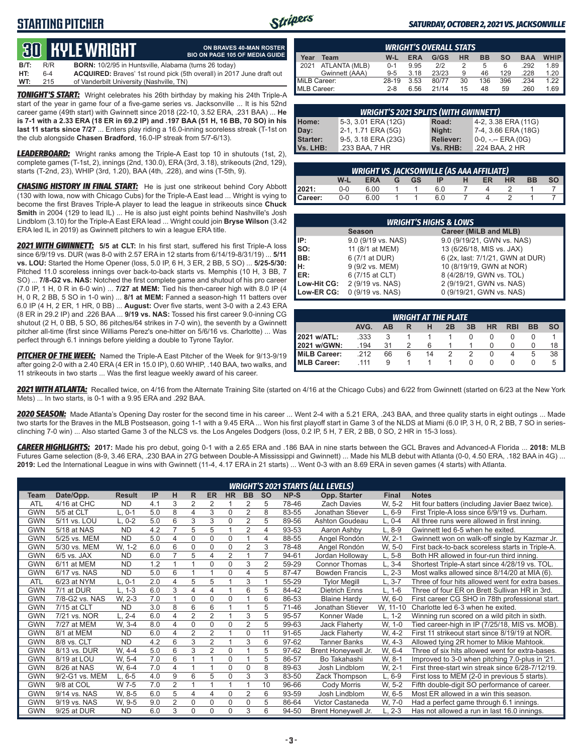## **STARTING PITCHER**



#### *SATURDAY, OCTOBER 2, 2021 VS. JACKSONVILLE*

# **30****KYLE WRIGHT**

| lill                                    | ON BRAVES 40-MAN ROSTER<br><b>BIO ON PAGE 105 OF MEDIA GUIDE</b> |
|-----------------------------------------|------------------------------------------------------------------|
| in Huntsville, Alabama (turns 26 today) |                                                                  |
|                                         | aves' 1st round pick (5th overall) in 2017 June draft out        |

**B/T:** R/R **BORN:** 10/2/95 in Huntsville, ACQUIRED: Brayes **HT:** 6-4 **ACQUIRED:** Braves' 1st round pick (5th overall) in 2017 June draft out of Vanderbilt University (Nashville, TN)

*TONIGHT'S START:* Wright celebrates his 26th birthday by making his 24th Triple-A start of the year in game four of a five-game series vs. Jacksonville ... It is his 52nd career game (49th start) with Gwinnett since 2018 (22-10, 3.52 ERA, .231 BAA) ... **He is 7-1 with a 2.33 ERA (18 ER in 69.2 IP) and .197 BAA (51 H, 16 BB, 70 SO) in his last 11 starts since 7/27** ... Enters play riding a 16.0-inning scoreless streak (T-1st on the club alongside **Chasen Bradford**, 16.0-IP streak from 5/7-6/13).

*LEADERBOARD:* Wright ranks among the Triple-A East top 10 in shutouts (1st, 2), complete games (T-1st, 2), innings (2nd, 130.0), ERA (3rd, 3.18), strikeouts (2nd, 129), starts (T-2nd, 23), WHIP (3rd, 1.20), BAA (4th, .228), and wins (T-5th, 9).

*CHASING HISTORY IN FINAL START:* He is just one strikeout behind Cory Abbott (130 with Iowa, now with Chicago Cubs) for the Triple-A East lead ... Wright is vying to become the first Braves Triple-A player to lead the league in strikeouts since **Chuck Smith** in 2004 (129 to lead IL) ... He is also just eight points behind Nashville's Josh Lindblom (3.10) for the Triple-A East ERA lead ... Wright could join **Bryse Wilson** (3.42 ERA led IL in 2019) as Gwinnett pitchers to win a league ERA title.

*2021 WITH GWINNETT:* **5/5 at CLT:** In his first start, suffered his first Triple-A loss since 6/9/19 vs. DUR (was 8-0 with 2.57 ERA in 12 starts from 6/14/19-8/31/19) ... **5/11 vs. LOU:** Started the Home Opener (loss, 5.0 IP, 6 H, 3 ER, 2 BB, 5 SO) ... **5/25-5/30:** Pitched 11.0 scoreless innings over back-to-back starts vs. Memphis (10 H, 3 BB, 7 SO) ... **7/8-G2 vs. NAS:** Notched the first complete game and shutout of his pro career (7.0 IP, 1 H, 0 R in 6-0 win) ... **7/27 at MEM:** Tied his then-career high with 8.0 IP (4 H, 0 R, 2 BB, 5 SO in 1-0 win) ... **8/1 at MEM:** Fanned a season-high 11 batters over 6.0 IP (4 H, 2 ER, 1 HR, 0 BB) ... **August:** Over five starts, went 3-0 with a 2.43 ERA (8 ER in 29.2 IP) and .226 BAA ... **9/19 vs. NAS:** Tossed his first career 9.0-inning CG shutout (2 H, 0 BB, 5 SO, 86 pitches/64 strikes in 7-0 win), the seventh by a Gwinnett pitcher all-time (first since Williams Perez's one-hitter on 5/6/16 vs. Charlotte) ... Was perfect through 6.1 innings before yielding a double to Tyrone Taylor.

*PITCHER OF THE WEEK:* Named the Triple-A East Pitcher of the Week for 9/13-9/19 after going 2-0 with a 2.40 ERA (4 ER in 15.0 IP), 0.60 WHIP, .140 BAA, two walks, and 11 strikeouts in two starts ... Was the first league weekly award of his career.

|                     | <b>WRIGHT'S OVERALL STATS</b> |         |            |       |           |           |     |            |             |  |  |  |  |  |  |
|---------------------|-------------------------------|---------|------------|-------|-----------|-----------|-----|------------|-------------|--|--|--|--|--|--|
| Year                | Team                          | W-L     | <b>ERA</b> | G/GS  | <b>HR</b> | <b>BB</b> | so  | <b>BAA</b> | <b>WHIP</b> |  |  |  |  |  |  |
| $\blacksquare$ 2021 | ATLANTA (MLB)                 | $0 - 1$ | 9.95       | 212   |           | 5         | 6   | .292       | 1.89        |  |  |  |  |  |  |
|                     | Gwinnett (AAA)                | $9 - 5$ | 3.18       | 23/23 | 9         | 46        | 129 | .228       | 1.20        |  |  |  |  |  |  |
| MiLB Career:        |                               | 28-19   | 3.53       | 80/77 | 30        | 136       | 396 | .234       | 1.22        |  |  |  |  |  |  |
| MLB Career:         |                               | $2 - 8$ | 6.56       | 21/14 | 15        | 48        | 59  | .260       | 1.69        |  |  |  |  |  |  |

|                  | <b>WRIGHT'S 2021 SPLITS (WITH GWINNETT)</b> |                  |                     |  |  |  |  |  |  |  |  |  |
|------------------|---------------------------------------------|------------------|---------------------|--|--|--|--|--|--|--|--|--|
| Home:            | 5-3, 3.01 ERA (12G)                         | Road:            | 4-2, 3.38 ERA (11G) |  |  |  |  |  |  |  |  |  |
| Day:<br>Starter: | 2-1, 1.71 ERA (5G)                          | Night:           | 7-4, 3.66 ERA (18G) |  |  |  |  |  |  |  |  |  |
|                  | 9-5, 3.18 ERA (23G)                         | <b>Reliever:</b> | 0-0, -.-- ERA (0G)  |  |  |  |  |  |  |  |  |  |
| Vs. LHB:         | .233 BAA, 7 HR                              | Vs. RHB:         | .224 BAA, 2 HR      |  |  |  |  |  |  |  |  |  |

|         | <b>WRIGHT VS. JACKSONVILLE (AS AAA AFFILIATE)</b> |      |  |  |               |  |    |           |           |      |  |  |  |  |  |
|---------|---------------------------------------------------|------|--|--|---------------|--|----|-----------|-----------|------|--|--|--|--|--|
|         | W-L                                               |      |  |  | ERA G GS IP H |  | ER | <b>HR</b> | <b>BB</b> | so I |  |  |  |  |  |
| 2021:   | $0-0$                                             | 6.00 |  |  | 6.0           |  |    |           |           |      |  |  |  |  |  |
| Career: | $0-0$                                             | 6.00 |  |  | 6.0           |  |    |           |           |      |  |  |  |  |  |

|             | <b>WRIGHT'S HIGHS &amp; LOWS</b> |                                  |  |  |  |  |  |  |  |  |  |  |
|-------------|----------------------------------|----------------------------------|--|--|--|--|--|--|--|--|--|--|
|             | <b>Season</b>                    | Career (MiLB and MLB)            |  |  |  |  |  |  |  |  |  |  |
| l IP:       | 9.0 (9/19 vs. NAS)               | 9.0 (9/19/21, GWN vs. NAS)       |  |  |  |  |  |  |  |  |  |  |
| Iso:        | 11 (8/1 at MEM)                  | 13 (6/26/18, MIS vs. JAX)        |  |  |  |  |  |  |  |  |  |  |
| BB:         | 6 (7/1 at DUR)                   | 6 (2x, last: 7/1/21, GWN at DUR) |  |  |  |  |  |  |  |  |  |  |
| Iн:         | 9 (9/2 vs. MEM)                  | 10 (8/19/19, GWN at NOR)         |  |  |  |  |  |  |  |  |  |  |
| <b>IER:</b> | 6 (7/15 at CLT)                  | 8 (4/28/19, GWN vs. TOL)         |  |  |  |  |  |  |  |  |  |  |
| Low-Hit CG: | 2 (9/19 vs. NAS)                 | 2 (9/19/21, GWN vs. NAS)         |  |  |  |  |  |  |  |  |  |  |
| Low-ER CG:  | 0 (9/19 vs. NAS)                 | 0 (9/19/21, GWN vs. NAS)         |  |  |  |  |  |  |  |  |  |  |

|                       | <b>WRIGHT AT THE PLATE</b> |    |   |    |    |    |    |            |           |    |  |  |  |  |  |
|-----------------------|----------------------------|----|---|----|----|----|----|------------|-----------|----|--|--|--|--|--|
|                       | AVG.                       | AB |   |    | 2B | 3B | HR | <b>RBI</b> | <b>BB</b> |    |  |  |  |  |  |
| 2021 w/ATL:           | .333                       |    |   |    |    |    |    |            |           |    |  |  |  |  |  |
| 2021 w/GWN:           | .194                       | 31 |   | 6  |    |    |    |            |           | 18 |  |  |  |  |  |
| <b>I</b> MiLB Career: | .212                       | 66 | 6 | 14 |    |    |    | 4          | 5         | 38 |  |  |  |  |  |
| <b>MLB Career:</b>    | 111                        | 9  |   |    |    |    |    |            |           |    |  |  |  |  |  |

*2021 WITH ATLANTA:* Recalled twice, on 4/16 from the Alternate Training Site (started on 4/16 at the Chicago Cubs) and 6/22 from Gwinnett (started on 6/23 at the New York Mets) ... In two starts, is 0-1 with a 9.95 ERA and .292 BAA.

*2020 SEASON:* Made Atlanta's Opening Day roster for the second time in his career ... Went 2-4 with a 5.21 ERA, .243 BAA, and three quality starts in eight outings ... Made two starts for the Braves in the MLB Postseason, going 1-1 with a 9.45 ERA ... Won his first playoff start in Game 3 of the NLDS at Miami (6.0 IP, 3 H, 0 R, 2 BB, 7 SO in seriesclinching 7-0 win) ... Also started Game 3 of the NLCS vs. the Los Angeles Dodgers (loss, 0.2 IP, 5 H, 7 ER, 2 BB, 0 SO, 2 HR in 15-3 loss).

*CAREER HIGHLIGHTS:* **2017:** Made his pro debut, going 0-1 with a 2.65 ERA and .186 BAA in nine starts between the GCL Braves and Advanced-A Florida ... **2018:** MLB Futures Game selection (8-9, 3.46 ERA, .230 BAA in 27G between Double-A Mississippi and Gwinnett) ... Made his MLB debut with Atlanta (0-0, 4.50 ERA, .182 BAA in 4G) ... **2019:** Led the International League in wins with Gwinnett (11-4, 4.17 ERA in 21 starts) ... Went 0-3 with an 8.69 ERA in seven games (4 starts) with Atlanta.

|             |                |               |     |                |                |                |           |                |           |       | <b>WRIGHT'S 2021 STARTS (ALL LEVELS)</b> |              |                                                  |
|-------------|----------------|---------------|-----|----------------|----------------|----------------|-----------|----------------|-----------|-------|------------------------------------------|--------------|--------------------------------------------------|
| <b>Team</b> | Date/Opp.      | <b>Result</b> | IP  | н              | R.             | ER.            | <b>HR</b> | <b>BB</b>      | <b>SO</b> | NP-S  | Opp. Starter                             | <b>Final</b> | <b>Notes</b>                                     |
| <b>ATL</b>  | 4/16 at CHC    | <b>ND</b>     | 4.1 | 3              | 2              | 2              |           | 2              | 5         | 78-46 | <b>Zach Davies</b>                       | W. 5-2       | Hit four batters (including Javier Baez twice).  |
| <b>GWN</b>  | 5/5 at CLT     | $L, 0-1$      | 5.0 | 8              | 4              | 3              | 0         | $\overline{2}$ | 8         | 83-55 | Jonathan Stiever                         | $L, 6-9$     | First Triple-A loss since 6/9/19 vs. Durham.     |
| <b>GWN</b>  | 5/11 vs. LOU   | $L, 0-2$      | 5.0 | 6              | 3              | 3              | 0         | $\overline{2}$ | 5         | 89-56 | Ashton Goudeau                           | $L, 0-4$     | All three runs were allowed in first inning.     |
| <b>GWN</b>  | 5/18 at NAS    | <b>ND</b>     | 4.2 | 7              | 5              | 5              |           | $\overline{2}$ | 4         | 93-53 | Aaron Ashby                              | $L, 8-9$     | Gwinnett led 6-5 when he exited.                 |
| <b>GWN</b>  | 5/25 vs. MEM   | <b>ND</b>     | 5.0 | $\overline{4}$ | 0              | $\Omega$       | $\Omega$  |                | 4         | 88-55 | Angel Rondón                             | W, 2-1       | Gwinnett won on walk-off single by Kazmar Jr.    |
| <b>GWN</b>  | 5/30 vs. MEM   | W. 1-2        | 6.0 | 6              | 0              | 0              | 0         | $\overline{2}$ | 3         | 78-48 | Angel Rondón                             | W, 5-0       | First back-to-back scoreless starts in Triple-A. |
| <b>GWN</b>  | $6/5$ vs. JAX  | <b>ND</b>     | 6.0 | $\overline{ }$ | 5              | 4              | 2         |                |           | 94-61 | Jordan Holloway                          | $L, 5-8$     | Both HR allowed in four-run third inning.        |
| <b>GWN</b>  | 6/11 at MEM    | <b>ND</b>     | 1.2 |                |                | $\mathbf 0$    | 0         | 3              | 2         | 59-29 | <b>Connor Thomas</b>                     | $L, 3-4$     | Shortest Triple-A start since 4/28/19 vs. TOL.   |
| <b>GWN</b>  | 6/17 vs. NAS   | <b>ND</b>     | 5.0 | 6              |                |                | 0         | 4              | 5         | 87-47 | <b>Bowden Francis</b>                    | $L, 2-3$     | Most walks allowed since 8/14/20 at MIA (6).     |
| <b>ATL</b>  | 6/23 at NYM    | $L, 0-1$      | 2.0 | $\overline{4}$ | 5              | 5              |           | 3              |           | 55-29 | <b>Tylor Megill</b>                      | $L, 3-7$     | Three of four hits allowed went for extra bases. |
| <b>GWN</b>  | 7/1 at DUR     | $L. 1-3$      | 6.0 | 3              | 4              | 4              |           | 6              | 5         | 84-42 | <b>Dietrich Enns</b>                     | $L. 1-6$     | Three of four ER on Brett Sullivan HR in 3rd.    |
| <b>GWN</b>  | 7/8-G2 vs. NAS | W. 2-3        | 7.0 | $\overline{ }$ | 0              | 0              | 0         |                | 6         | 86-53 | <b>Blaine Hardy</b>                      | W, 6-0       | First career CG SHO in 78th professional start.  |
| <b>GWN</b>  | 7/15 at CLT    | <b>ND</b>     | 3.0 | 8              | 6              | 6              |           |                | 5         | 71-46 | Jonathan Stiever                         | W, 11-10     | Charlotte led 6-3 when he exited.                |
| <b>GWN</b>  | 7/21 vs. NOR   | $L. 2 - 4$    | 6.0 | $\overline{4}$ | $\overline{2}$ | $\overline{2}$ |           | 3              | 5         | 95-57 | Konner Wade                              | $L. 1-2$     | Winning run scored on a wild pitch in sixth.     |
| <b>GWN</b>  | 7/27 at MEM    | W. 3-4        | 8.0 | $\overline{4}$ | 0              | $\Omega$       | 0         | $\overline{2}$ | 5         | 99-63 | <b>Jack Flaherty</b>                     | W, 1-0       | Tied career-high in IP (7/25/18, MIS vs. MOB).   |
| <b>GWN</b>  | 8/1 at MEM     | <b>ND</b>     | 6.0 | $\overline{4}$ | 2              | $\overline{2}$ |           | 0              | 11        | 91-65 | <b>Jack Flaherty</b>                     | W, 4-2       | First 11 strikeout start since 8/19/19 at NOR.   |
| <b>GWN</b>  | 8/8 vs. CLT    | <b>ND</b>     | 4.2 | 6              | 3              | $\overline{2}$ |           | 3              | 6         | 97-62 | <b>Tanner Banks</b>                      | W, 4-3       | Allowed tying 2R homer to Mikie Mahtook.         |
| <b>GWN</b>  | 8/13 vs. DUR   | W. 4-4        | 5.0 | 6              | 3              | 2              | 0         |                | 5         | 97-62 | Brent Honeywell Jr.                      | W. 6-4       | Three of six hits allowed went for extra-bases.  |
| <b>GWN</b>  | 8/19 at LOU    | W. 5-4        | 7.0 | 6              |                |                | 0         |                | 5         | 86-57 | Bo Takahashi                             | W. 8-1       | Improved to 3-0 when pitching 7.0-plus in '21.   |
| <b>GWN</b>  | 8/26 at NAS    | W. 6-4        | 7.0 | $\overline{4}$ |                |                | 0         | 0              | 8         | 89-63 | Josh Lindblom                            | W. 2-1       | First three-start win streak since 6/28-7/12/19. |
| <b>GWN</b>  | 9/2-G1 vs. MEM | $L.6 - 5$     | 4.0 | 9              | 6              | 5              | 0         | 3              | 3         | 83-50 | Zack Thompson                            | $L, 6-9$     | First loss to MEM (2-0 in previous 5 starts).    |
| <b>GWN</b>  | 9/8 at COL     | W 7-5         | 7.0 | $\overline{2}$ |                |                |           |                | 10        | 96-66 | Cody Morris                              | W. 5-2       | Fifth double-digit SO performance of career.     |
| <b>GWN</b>  | 9/14 vs. NAS   | W. 8-5        | 6.0 | 5              | 4              | 4              | 0         | 2              | 6         | 93-59 | Josh Lindblom                            | W, 6-5       | Most ER allowed in a win this season.            |
| <b>GWN</b>  | 9/19 vs. NAS   | W. 9-5        | 9.0 | $\overline{2}$ | 0              | $\mathbf 0$    | 0         | 0              | 5         | 86-64 | Victor Castaneda                         | W, 7-0       | Had a perfect game through 6.1 innings.          |
| <b>GWN</b>  | 9/25 at DUR    | <b>ND</b>     | 6.0 | 3              | 0              | $\Omega$       | 0         | 3              | 6         | 94-50 | Brent Honeywell Jr.                      | $L. 2-3$     | Has not allowed a run in last 16.0 innings.      |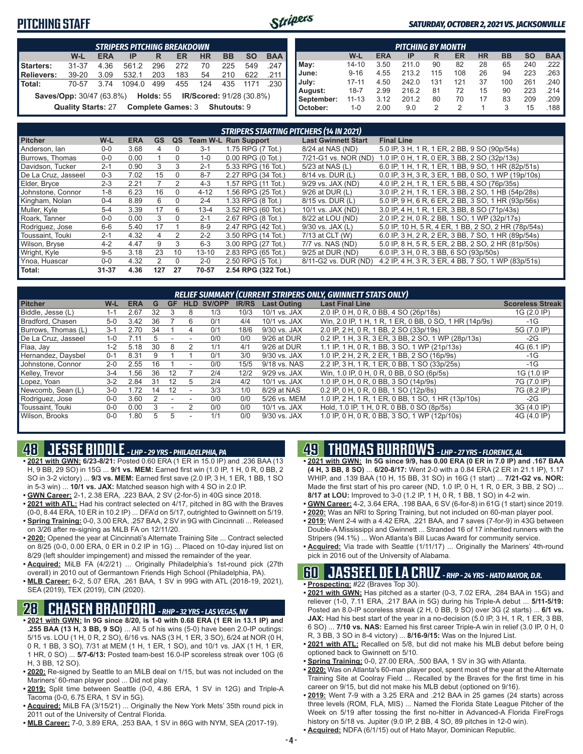### **PITCHING STAFF**



#### *SATURDAY, OCTOBER 2, 2021 VS. JACKSONVILLE*

| <b>Starters:</b><br>Relievers:                                                                                                                                 | W-L<br>$31 - 37$ | <b>ERA</b><br>4.36 | IP<br>561.2 | R<br>296 | ER<br>272 | <b>HR</b><br>70 | <b>BB</b><br>225 | <b>SO</b><br>549 | <b>BAA</b><br>.247 |  |  |  |
|----------------------------------------------------------------------------------------------------------------------------------------------------------------|------------------|--------------------|-------------|----------|-----------|-----------------|------------------|------------------|--------------------|--|--|--|
|                                                                                                                                                                |                  |                    |             |          |           |                 |                  |                  |                    |  |  |  |
|                                                                                                                                                                |                  |                    |             |          |           |                 |                  |                  |                    |  |  |  |
|                                                                                                                                                                | 39-20            | 3.09               | 532.1       | 203      | 183       | 54              | 210              | 622              | .211               |  |  |  |
| l Total:                                                                                                                                                       | 70-57            | 3.74               | 1094.0      | 499      | 455       | 124             | 435              | 1171             | .230               |  |  |  |
| Holds: 55<br><b>Saves/Opp: 30/47 (63.8%)</b><br><b>IR/Scored: 91/28 (30.8%)</b><br><b>Complete Games: 3</b><br><b>Quality Starts: 27</b><br><b>Shutouts: 9</b> |                  |                    |             |          |           |                 |                  |                  |                    |  |  |  |

|            |           |            | <b>PITCHING BY MONTH</b> |     |                |           |           |           |                       |
|------------|-----------|------------|--------------------------|-----|----------------|-----------|-----------|-----------|-----------------------|
|            | W-L       | <b>ERA</b> | ΙP                       | R   | ER             | <b>HR</b> | <b>BB</b> | <b>SO</b> | <b>BAA</b>            |
| May:       | $14 - 10$ | 3.50       | 211.0                    | 90  | 82             | 28        | 65        | 240       | $.222$ I              |
| June:      | $9 - 16$  | 4.55       | 213.2                    | 115 | 108            | 26        | 94        | 223       | $.263$ $\blacksquare$ |
| July:      | $17 - 11$ | 4.50       | 242.0                    | 131 | 121            | 37        | 100       | 261       | $.240$ $\blacksquare$ |
| August:    | $18 - 7$  | 2.99       | 216.2                    | 81  | 72             | 15        | 90        | 223       | .214                  |
| September: | $11 - 13$ | 3.12       | 201.2                    | 80  | 70             | 17        | 83        | 209       | .209                  |
| October:   | 1-0       | 2.00       | 9.0                      | 2   | $\mathfrak{p}$ |           | 3         | 15        | .188                  |

|                     |           |            |                |              |           | <b>STRIPERS STARTING PITCHERS (14 IN 2021)</b> |                            |                                                     |
|---------------------|-----------|------------|----------------|--------------|-----------|------------------------------------------------|----------------------------|-----------------------------------------------------|
| <b>Pitcher</b>      | W-L       | <b>ERA</b> | <b>GS</b>      | QS           |           | <b>Team W-L Run Support</b>                    | <b>Last Gwinnett Start</b> | <b>Final Line</b>                                   |
| Anderson, Ian       | $0 - 0$   | 3.68       | 4              | 0            | $3-1$     | 1.75 RPG (7 Tot.)                              | 8/24 at NAS (ND)           | 5.0 IP, 3 H, 1 R, 1 ER, 2 BB, 9 SO (90p/54s)        |
| Burrows, Thomas     | $0 - 0$   | 0.00       |                | $\Omega$     | $1 - 0$   | $0.00$ RPG $(0$ Tot.)                          | 7/21-G1 vs. NOR (ND)       | 1.0 IP, 0 H, 1 R, 0 ER, 3 BB, 2 SO (32p/13s)        |
| Davidson, Tucker    | $2 - 1$   | 0.90       | 3              | 3            | $2 - 1$   | 5.33 RPG (16 Tot.)                             | 5/23 at NAS (L)            | 6.0 IP, 1 H, 1 R, 1 ER, 1 BB, 9 SO, 1 HR (82p/51s)  |
| De La Cruz. Jasseel | $0 - 3$   | 7.02       | 15             | $\Omega$     | $8 - 7$   | 2.27 RPG (34 Tot.)                             | 8/14 vs. DUR (L)           | 0.0 IP, 3 H, 3 R, 3 ER, 1 BB, 0 SO, 1 WP (19p/10s)  |
| Elder, Bryce        | $2 - 3$   | 2.21       |                | 2            | $4 - 3$   | 1.57 RPG (11 Tot.)                             | $9/29$ vs. JAX (ND)        | 4.0 IP, 2 H, 1 R, 1 ER, 5 BB, 4 SO (76p/35s)        |
| Johnstone, Connor   | $1 - 8$   | 6.23       | 16             | $\Omega$     | $4 - 12$  | 1.56 RPG (25 Tot.)                             | 9/26 at DUR (L)            | 3.0 IP, 2 H, 1 R, 1 ER, 3 BB, 2 SO, 1 HB (54p/28s)  |
| Kingham, Nolan      | $0 - 4$   | 8.89       | 6              | $\Omega$     | $2 - 4$   | 1.33 RPG (8 Tot.)                              | 8/15 vs. DUR (L)           | 5.0 IP, 9 H, 6 R, 6 ER, 2 BB, 3 SO, 1 HR (93p/56s)  |
| Muller, Kyle        | $5 - 4$   | 3.39       | 17             | 6            | $13 - 4$  | 3.52 RPG (60 Tot.)                             | 10/1 vs. JAX (ND)          | 3.0 IP, 4 H, 1 R, 1 ER, 3 BB, 8 SO (71p/43s)        |
| Roark. Tanner       | $0 - 0$   | 0.00       | 3              | $\mathbf{0}$ | $2 - 1$   | 2.67 RPG (8 Tot.)                              | 8/22 at LOU (ND)           | 2.0 IP, 2 H, 0 R, 2 BB, 1 SO, 1 WP (32p/17s)        |
| Rodriguez, Jose     | $6-6$     | 5.40       | 17             |              | $8 - 9$   | 2.47 RPG (42 Tot.)                             | $9/30$ vs. JAX $(L)$       | 5.0 IP, 10 H, 5 R, 4 ER, 1 BB, 2 SO, 2 HR (78p/54s) |
| Toussaint. Touki    | $2 - 1$   | 4.32       | 4              | 2            | $2 - 2$   | 3.50 RPG (14 Tot.)                             | 7/13 at CLT (W)            | 6.0 IP, 3 H, 2 R, 2 ER, 3 BB, 7 SO, 1 HR (89p/54s)  |
| Wilson, Bryse       | $4 - 2$   | 4.47       | 9              | 3            | $6 - 3$   | 3.00 RPG (27 Tot.)                             | 7/7 vs. NAS (ND)           | 5.0 IP, 8 H, 5 R, 5 ER, 2 BB, 2 SO, 2 HR (81p/50s)  |
| Wright, Kyle        | $9 - 5$   | 3.18       | 23             | 10           | $13 - 10$ | 2.83 RPG (65 Tot.)                             | 9/25 at DUR (ND)           | 6.0 IP, 3 H, 0 R, 3 BB, 6 SO (93p/50s)              |
| Ynoa, Huascar       | $0-0$     | 4.32       | $\overline{2}$ | $\Omega$     | $2 - 0$   | 2.50 RPG (5 Tot.)                              | 8/11-G2 vs. DUR (ND)       | 4.2 IP, 4 H, 3 R, 3 ER, 4 BB, 7 SO, 1 WP (83p/51s)  |
| Total:              | $31 - 37$ | 4.36       | 127            | 27           | 70-57     | 2.54 RPG (322 Tot.)                            |                            |                                                     |

|                     |         |            |    |                          |                          |        |              |                    | RELIEF SUMMARY (CURRENT STRIPERS ONLY, GWINNETT STATS ONLY) |                         |
|---------------------|---------|------------|----|--------------------------|--------------------------|--------|--------------|--------------------|-------------------------------------------------------------|-------------------------|
| <b>Pitcher</b>      | W-L     | <b>ERA</b> | G  | GF                       | <b>HLD</b>               | SV/OPP | <b>IR/RS</b> | <b>Last Outing</b> | <b>Last Final Line</b>                                      | <b>Scoreless Streak</b> |
| Biddle, Jesse (L)   | $1 - 1$ | 2.67       | 32 |                          | 8                        | 1/3    | 10/3         | 10/1 vs. JAX       | 2.0 IP, 0 H, 0 R, 0 BB, 4 SO (26p/18s)                      | 1G (2.0 IP)             |
| Bradford, Chasen    | $5-0$   | 3.42       | 36 |                          | 6                        | 0/1    | 4/4          | 10/1 vs. JAX       | Win, 2.0 IP, 1 H, 1 R, 1 ER, 0 BB, 0 SO, 1 HR (14p/9s)      | $-1G$                   |
| Burrows. Thomas (L) | $3 - 1$ | 2.70       | 34 |                          | 4                        | 0/1    | 18/6         | 9/30 vs. JAX       | 2.0 IP, 2 H, 0 R, 1 BB, 2 SO (33p/19s)                      | 5G (7.0 IP)             |
| De La Cruz. Jasseel | $1 - 0$ | 7.11       |    |                          |                          | 0/0    | 0/0          | 9/26 at DUR        | 0.2 IP, 1 H, 3 R, 3 ER, 3 BB, 2 SO, 1 WP (28p/13s)          | $-2G$                   |
| Flaa, Jay           | $1 - 2$ | 5.18       | 30 | 8                        | 2                        | 1/1    | 4/1          | 9/26 at DUR        | 1.1 IP, 1 H, 0 R, 1 BB, 3 SO, 1 WP (21p/13s)                | 4G (6.1 IP)             |
| Hernandez, Daysbel  | $0 - 1$ | 8.31       |    |                          |                          | 0/1    | 3/0          | 9/30 vs. JAX       | 1.0 IP, 2 H, 2 R, 2 ER, 1 BB, 2 SO (16p/9s)                 | -1G                     |
| Johnstone, Connor   | $2 - 0$ | 2.55       | 16 |                          | $\overline{\phantom{a}}$ | 0/0    | 15/5         | 9/18 vs. NAS       | 2.2 IP. 3 H. 1 R. 1 ER. 0 BB. 1 SO (33p/25s)                | $-1G$                   |
| Kelley, Trevor      | $3 - 4$ | .56        | 36 | 12                       |                          | 2/4    | 12/2         | 9/29 vs. JAX       | Win, 1.0 IP, 0 H, 0 R, 0 BB, 0 SO (6p/5s)                   | 1G (1.0 IP              |
| Lopez, Yoan         | $3-2$   | 2.84       | 31 | 12                       | 5                        | 2/4    | 4/2          | 10/1 vs. JAX       | 1.0 IP, 0 H, 0 R, 0 BB, 3 SO (14p/9s)                       | 7G (7.0 IP)             |
| Newcomb, Sean (L)   | $3-0$   | 1.72       | 14 | 12                       | $\overline{\phantom{a}}$ | 3/3    | 1/0          | 8/29 at NAS        | 0.2 IP, 0 H, 0 R, 0 BB, 1 SO (12p/8s)                       | 7G (8.2 IP)             |
| Rodriguez, Jose     | $0 - 0$ | 3.60       |    |                          |                          | 0/0    | 0/0          | 5/26 vs. MEM       | 1.0 IP, 2 H, 1 R, 1 ER, 0 BB, 1 SO, 1 HR (13p/10s)          | $-2G$                   |
| Toussaint, Touki    | $0 - 0$ | 0.00       | 3  | $\overline{\phantom{a}}$ |                          | 0/0    | 0/0          | 10/1 vs. JAX       | Hold, 1.0 IP, 1 H, 0 R, 0 BB, 0 SO (8p/5s)                  | 3G (4.0 IP)             |
| Wilson, Brooks      | $0 - 0$ | .80        | 5. | 5                        |                          | 1/1    | 0/0          | 9/30 vs. JAX       | 1.0 IP, 0 H, 0 R, 0 BB, 3 SO, 1 WP (12p/10s)                | 4G (4.0 IP)             |

## **48 JESSE BIDDLE** *- LHP - 29 YRS - PHILADELPHIA, PA*

- **• 2021 with GWN: 6/23-8/21:** Posted 0.60 ERA (1 ER in 15.0 IP) and .236 BAA (13 H, 9 BB, 29 SO) in 15G ... **9/1 vs. MEM:** Earned first win (1.0 IP, 1 H, 0 R, 0 BB, 2 SO in 3-2 victory) ... **9/3 vs. MEM:** Earned first save (2.0 IP, 3 H, 1 ER, 1 BB, 1 SO in 5-3 win) ... **10/1 vs. JAX:** Matched season high with 4 SO in 2.0 IP.
- **• GWN Career:** 2-1, 2.38 ERA, .223 BAA, 2 SV (2-for-5) in 40G since 2018.
- **• 2021 with ATL:** Had his contract selected on 4/17, pitched in 8G with the Braves (0-0, 8.44 ERA, 10 ER in 10.2 IP) ... DFA'd on 5/17, outrighted to Gwinnett on 5/19.
- **• Spring Training:** 0-0, 3.00 ERA, .257 BAA, 2 SV in 9G with Cincinnati ... Released on 3/26 after re-signing as MiLB FA on 12/11/20. **• 2020:** Opened the year at Cincinnati's Alternate Training Site ... Contract selected
- on 8/25 (0-0, 0.00 ERA, 0 ER in 0.2 IP in 1G) ... Placed on 10-day injured list on 8/29 (left shoulder impingement) and missed the remainder of the year.
- **• Acquired:** MiLB FA (4/2/21) ... Originally Philadelphia's 1st-round pick (27th overall) in 2010 out of Germantown Friends High School (Philadelphia, PA).
- **• MLB Career:** 6-2, 5.07 ERA, .261 BAA, 1 SV in 99G with ATL (2018-19, 2021), SEA (2019), TEX (2019), CIN (2020).

### **28 CHASEN BRADFORD** *- RHP - 32 YRS - LAS VEGAS, NV*

- **• 2021 with GWN: In 9G since 8/20, is 1-0 with 0.68 ERA (1 ER in 13.1 IP) and .255 BAA (13 H, 3 BB, 9 SO)** ... All 5 of his wins (5-0) have been 2.0-IP outings: 5/15 vs. LOU (1 H, 0 R, 2 SO), 6/16 vs. NAS (3 H, 1 ER, 3 SO), 6/24 at NOR (0 H, 0 R, 1 BB, 3 SO), 7/31 at MEM (1 H, 1 ER, 1 SO), and 10/1 vs. JAX (1 H, 1 ER, 1 HR, 0 SO) ... **5/7-6/13:** Posted team-best 16.0-IP scoreless streak over 10G (6 H, 3 BB, 12 SO).
- **• 2020:** Re-signed by Seattle to an MiLB deal on 1/15, but was not included on the Mariners' 60-man player pool ... Did not play.
- **• 2019:** Split time between Seattle (0-0, 4.86 ERA, 1 SV in 12G) and Triple-A Tacoma (0-0, 6.75 ERA, 1 SV in 5G).
- **• Acquired:** MiLB FA (3/15/21) ... Originally the New York Mets' 35th round pick in 2011 out of the University of Central Florida.
- **• MLB Career:** 7-0, 3.89 ERA, .253 BAA, 1 SV in 86G with NYM, SEA (2017-19).

## **49 THOMAS BURROWS** *- LHP - 27 YRS - FLORENCE, AL*

- **• 2021 with GWN: In 5G since 9/9, has 0.00 ERA (0 ER in 7.0 IP) and .167 BAA (4 H, 3 BB, 8 SO)** ... **6/20-8/17:** Went 2-0 with a 0.84 ERA (2 ER in 21.1 IP), 1.17 WHIP, and .139 BAA (10 H, 15 BB, 31 SO) in 16G (1 start) ... **7/21-G2 vs. NOR:** Made the first start of his pro career (ND, 1.0 IP, 0 H, 1 R, 0 ER, 3 BB, 2 SO) ... **8/17 at LOU:** Improved to 3-0 (1.2 IP, 1 H, 0 R, 1 BB, 1 SO) in 4-2 win.
- **• GWN Career:** 4-2, 3.64 ERA, .198 BAA, 6 SV (6-for-8) in 61G (1 start) since 2019.
- **• 2020:** Was an NRI to Spring Training, but not included on 60-man player pool.
- **• 2019:** Went 2-4 with a 4.42 ERA, .221 BAA, and 7 saves (7-for-9) in 43G between Double-A Mississippi and Gwinnett ... Stranded 16 of 17 inherited runners with the Stripers (94.1%) ... Won Atlanta's Bill Lucas Award for community service.
- **• Acquired:** Via trade with Seattle (1/11/17) ... Originally the Mariners' 4th-round pick in 2016 out of the University of Alabama.

### **60 JASSEEL DE LA CRUZ** *- RHP - 24 YRS - HATO MAYOR, D.R.*

- **• Prospecting:** #22 (Braves Top 30).
- **• 2021 with GWN:** Has pitched as a starter (0-3, 7.02 ERA, .284 BAA in 15G) and reliever (1-0, 7.11 ERA, .217 BAA in 5G) during his Triple-A debut ... **5/11-5/19:** Posted an 8.0-IP scoreless streak (2 H, 0 BB, 9 SO) over 3G (2 starts) ... **6/1 vs. JAX:** Had his best start of the year in a no-decision (5.0 IP, 3 H, 1 R, 1 ER, 3 BB, 6 SO) ... **7/10 vs. NAS:** Earned his first career Triple-A win in relief (3.0 IP, 0 H, 0 R, 3 BB, 3 SO in 8-4 victory) ... **8/16-9/15:** Was on the Injured List.
- **• 2021 with ATL:** Recalled on 5/8, but did not make his MLB debut before being optioned back to Gwinnett on 5/10.
- **• Spring Training:** 0-0, 27.00 ERA, .500 BAA, 1 SV in 3G with Atlanta.
- **• 2020:** Was on Atlanta's 60-man player pool, spent most of the year at the Alternate Training Site at Coolray Field ... Recalled by the Braves for the first time in his career on 9/15, but did not make his MLB debut (optioned on 9/16).
- **• 2019:** Went 7-9 with a 3.25 ERA and .212 BAA in 25 games (24 starts) across three levels (ROM, FLA, MIS) ... Named the Florida State League Pitcher of the Week on 5/19 after tossing the first no-hitter in Advanced-A Florida FireFrogs history on 5/18 vs. Jupiter (9.0 IP, 2 BB, 4 SO, 89 pitches in 12-0 win).
- **• Acquired:** NDFA (6/1/15) out of Hato Mayor, Dominican Republic.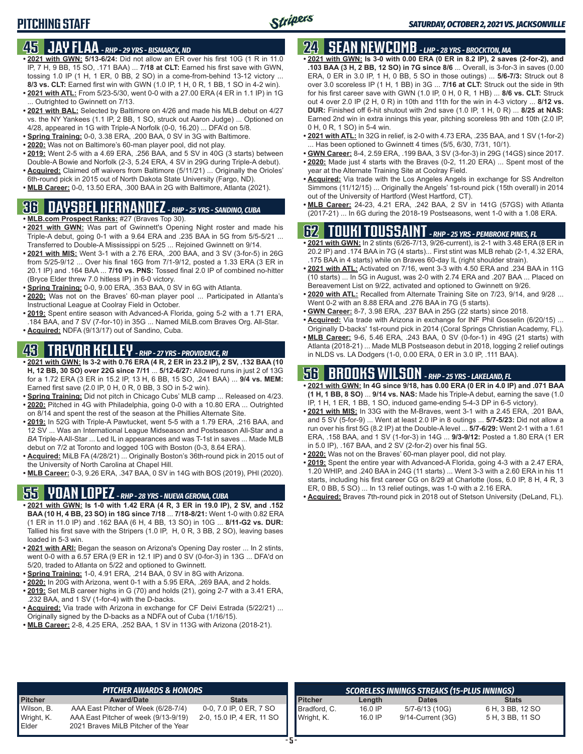## **45 JAY FLAA** *- RHP - 29 YRS - BISMARCK, ND*

- **• 2021 with GWN: 5/13-6/24:** Did not allow an ER over his first 10G (1 R in 11.0 IP, 7 H, 9 BB, 15 SO, .171 BAA) ... **7/18 at CLT:** Earned his first save with GWN, tossing 1.0 IP (1 H, 1 ER, 0 BB, 2 SO) in a come-from-behind 13-12 victory ... **8/3 vs. CLT:** Earned first win with GWN (1.0 IP, 1 H, 0 R, 1 BB, 1 SO in 4-2 win).
- **• 2021 with ATL:** From 5/23-5/30, went 0-0 with a 27.00 ERA (4 ER in 1.1 IP) in 1G ... Outrighted to Gwinnett on 7/13.
- **• 2021 with BAL:** Selected by Baltimore on 4/26 and made his MLB debut on 4/27 vs. the NY Yankees (1.1 IP, 2 BB, 1 SO, struck out Aaron Judge) ... Optioned on 4/28, appeared in 1G with Triple-A Norfolk (0-0, 16.20) ... DFA'd on 5/8.
- **• Spring Training:** 0-0, 3.38 ERA, .200 BAA, 0 SV in 3G with Baltimore.
- **• 2020:** Was not on Baltimore's 60-man player pool, did not play.
- **• 2019:** Went 2-5 with a 4.69 ERA, .256 BAA, and 5 SV in 40G (3 starts) between Double-A Bowie and Norfolk (2-3, 5.24 ERA, 4 SV in 29G during Triple-A debut).
- **• Acquired:** Claimed off waivers from Baltimore (5/11/21) ... Originally the Orioles' 6th-round pick in 2015 out of North Dakota State University (Fargo, ND).
- **• MLB Career:** 0-0, 13.50 ERA, .300 BAA in 2G with Baltimore, Atlanta (2021).

## **36 DAYSBEL HERNANDEZ** *- RHP - 25 YRS - SANDINO, CUBA*

- **• MLB.com Prospect Ranks:** #27 (Braves Top 30).
- **• 2021 with GWN:** Was part of Gwinnett's Opening Night roster and made his Triple-A debut, going 0-1 with a 9.64 ERA and .235 BAA in 5G from 5/5-5/21 ... Transferred to Double-A Mississippi on 5/25 ... Rejoined Gwinnett on 9/14.
- **• 2021 with MIS:** Went 3-1 with a 2.76 ERA, .200 BAA, and 3 SV (3-for-5) in 26G from 5/25-9/12 ... Over his final 16G from 7/1-9/12, posted a 1.33 ERA (3 ER in 20.1 IP) and .164 BAA ... **7/10 vs. PNS:** Tossed final 2.0 IP of combined no-hitter (Bryce Elder threw 7.0 hitless IP) in 6-0 victory.
- **• Spring Training:** 0-0, 9.00 ERA, .353 BAA, 0 SV in 6G with Atlanta.
- **• 2020:** Was not on the Braves' 60-man player pool ... Participated in Atlanta's Instructional League at Coolray Field in October.
- **• 2019:** Spent entire season with Advanced-A Florida, going 5-2 with a 1.71 ERA, .184 BAA, and 7 SV (7-for-10) in 35G ... Named MiLB.com Braves Org. All-Star.
- **• Acquired:** NDFA (9/13/17) out of Sandino, Cuba.

## **43 TREVOR KELLEY** *- RHP - 27 YRS - PROVIDENCE, RI*

- **• 2021 with GWN: Is 3-2 with 0.76 ERA (4 R, 2 ER in 23.2 IP), 2 SV, .132 BAA (10 H, 12 BB, 30 SO) over 22G since 7/11** ... **5/12-6/27:** Allowed runs in just 2 of 13G for a 1.72 ERA (3 ER in 15.2 IP, 13 H, 6 BB, 15 SO, .241 BAA) ... **9/4 vs. MEM:** Earned first save (2.0 IP, 0 H, 0 R, 0 BB, 3 SO in 5-2 win).
- **• Spring Training:** Did not pitch in Chicago Cubs' MLB camp ... Released on 4/23.
- **• 2020:** Pitched in 4G with Philadelphia, going 0-0 with a 10.80 ERA ... Outrighted on 8/14 and spent the rest of the season at the Phillies Alternate Site.
- **• 2019:** In 52G with Triple-A Pawtucket, went 5-5 with a 1.79 ERA, .216 BAA, and 12 SV ... Was an International League Midseason and Postseason All-Star and a *BA* Triple-A All-Star ... Led IL in appearances and was T-1st in saves ... Made MLB debut on 7/2 at Toronto and logged 10G with Boston (0-3, 8.64 ERA).
- **• Acquired:** MiLB FA (4/28/21) ... Originally Boston's 36th-round pick in 2015 out of the University of North Carolina at Chapel Hill.
- **• MLB Career:** 0-3, 9.26 ERA, .347 BAA, 0 SV in 14G with BOS (2019), PHI (2020).

# **55 YOAN LOPEZ** *- RHP - 28 YRS - NUEVA GERONA, CUBA*

- **• 2021 with GWN: Is 1-0 with 1.42 ERA (4 R, 3 ER in 19.0 IP), 2 SV, and .152 BAA (10 H, 4 BB, 23 SO) in 18G since 7/18** ... **7/18-8/21:** Went 1-0 with 0.82 ERA (1 ER in 11.0 IP) and .162 BAA (6 H, 4 BB, 13 SO) in 10G ... **8/11-G2 vs. DUR:** Tallied his first save with the Stripers (1.0 IP, H, 0 R, 3 BB, 2 SO), leaving bases loaded in 5-3 win.
- **• 2021 with ARI:** Began the season on Arizona's Opening Day roster ... In 2 stints, went 0-0 with a 6.57 ERA (9 ER in 12.1 IP) and 0 SV (0-for-3) in 13G ... DFA'd on 5/20, traded to Atlanta on 5/22 and optioned to Gwinnett.
- **• Spring Training:** 1-0, 4.91 ERA, .214 BAA, 0 SV in 8G with Arizona.
- **• 2020:** In 20G with Arizona, went 0-1 with a 5.95 ERA, .269 BAA, and 2 holds.
- **• 2019:** Set MLB career highs in G (70) and holds (21), going 2-7 with a 3.41 ERA, .232 BAA, and 1 SV (1-for-4) with the D-backs.
- **• Acquired:** Via trade with Arizona in exchange for CF Deivi Estrada (5/22/21) ... Originally signed by the D-backs as a NDFA out of Cuba (1/16/15).
- **• MLB Career:** 2-8, 4.25 ERA, .252 BAA, 1 SV in 113G with Arizona (2018-21).

### **24 SEAN NEWCOMB** *- LHP - 28 YRS - BROCKTON, MA*

- **• 2021 with GWN: Is 3-0 with 0.00 ERA (0 ER in 8.2 IP), 2 saves (2-for-2), and .103 BAA (3 H, 2 BB, 12 SO) in 7G since 8/6** ... Overall, is 3-for-3 in saves (0.00 ERA, 0 ER in 3.0 IP, 1 H, 0 BB, 5 SO in those outings) ... **5/6-7/3:** Struck out 8 over 3.0 scoreless IP (1 H, 1 BB) in 3G ... **7/16 at CLT:** Struck out the side in 9th for his first career save with GWN (1.0 IP, 0 H, 0 R, 1 HB) ... **8/6 vs. CLT:** Struck out 4 over 2.0 IP (2 H, 0 R) in 10th and 11th for the win in 4-3 victory ... **8/12 vs. DUR:** Finished off 6-hit shutout with 2nd save (1.0 IP, 1 H, 0 R) ... **8/25 at NAS:** Earned 2nd win in extra innings this year, pitching scoreless 9th and 10th (2.0 IP, 0 H, 0 R, 1 SO) in 5-4 win.
- **• 2021 with ATL:** In 32G in relief, is 2-0 with 4.73 ERA, .235 BAA, and 1 SV (1-for-2) . Has been optioned to Gwinnett 4 times (5/5, 6/30, 7/31, 10/1).
- **• GWN Career:** 8-4, 2.59 ERA, .199 BAA, 3 SV (3-for-3) in 29G (14GS) since 2017. **• 2020:** Made just 4 starts with the Braves (0-2, 11.20 ERA) ... Spent most of the
- year at the Alternate Training Site at Coolray Field. **• Acquired:** Via trade with the Los Angeles Angels in exchange for SS Andrelton Simmons (11/12/15) ... Originally the Angels' 1st-round pick (15th overall) in 2014 out of the University of Hartford (West Hartford, CT).
- **• MLB Career:** 24-23, 4.21 ERA, .242 BAA, 2 SV in 141G (57GS) with Atlanta (2017-21) ... In 6G during the 2018-19 Postseasons, went 1-0 with a 1.08 ERA.

### **62 TOUKI TOUSSAINT** *- RHP - 25 YRS - PEMBROKE PINES, FL*

- **• 2021 with GWN:** In 2 stints (6/26-7/13, 9/26-current), is 2-1 with 3.48 ERA (8 ER in 20.2 IP) and .174 BAA in 7G (4 starts)... First stint was MLB rehab (2-1, 4.32 ERA, .175 BAA in 4 starts) while on Braves 60-day IL (right shoulder strain).
- **• 2021 with ATL:** Activated on 7/16, went 3-3 with 4.50 ERA and .234 BAA in 11G (10 starts) ... In 5G in August, was 2-0 with 2.74 ERA and .207 BAA ... Placed on Bereavement List on 9/22, activated and optioned to Gwinnett on 9/26.
- **• 2020 with ATL:** Recalled from Alternate Training Site on 7/23, 9/14, and 9/28 ... Went 0-2 with an 8.88 ERA and .276 BAA in 7G (5 starts).
- **• GWN Career:** 8-7, 3.98 ERA, .237 BAA in 25G (22 starts) since 2018.
- **• Acquired:** Via trade with Arizona in exchange for INF Phil Gosselin (6/20/15) ... Originally D-backs' 1st-round pick in 2014 (Coral Springs Christian Academy, FL).
- **• MLB Career:** 9-6, 5.46 ERA, .243 BAA, 0 SV (0-for-1) in 49G (21 starts) with Atlanta (2018-21) ... Made MLB Postseason debut in 2018, logging 2 relief outings in NLDS vs. LA Dodgers (1-0, 0.00 ERA, 0 ER in 3.0 IP, .111 BAA).

## **56 BROOKS WILSON** *- RHP - 25 YRS - LAKELAND, FL*

- **• 2021 with GWN: In 4G since 9/18, has 0.00 ERA (0 ER in 4.0 IP) and .071 BAA (1 H, 1 BB, 8 SO)** ... **9/14 vs. NAS:** Made his Triple-A debut, earning the save (1.0 IP, 1 H, 1 ER, 1 BB, 1 SO, induced game-ending 5-4-3 DP in 6-5 victory).
- **• 2021 with MIS:** In 33G with the M-Braves, went 3-1 with a 2.45 ERA, .201 BAA, and 5 SV (5-for-9) ... Went at least 2.0 IP in 8 outings ... **5/7-5/23:** Did not allow a run over his first 5G (8.2 IP) at the Double-A level ... **5/7-6/29:** Went 2-1 with a 1.61 ERA, .158 BAA, and 1 SV (1-for-3) in 14G ... **9/3-9/12:** Posted a 1.80 ERA (1 ER in 5.0 IP), .167 BAA, and 2 SV (2-for-2) over his final 5G.
- **• 2020:** Was not on the Braves' 60-man player pool, did not play.
- **• 2019:** Spent the entire year with Advanced-A Florida, going 4-3 with a 2.47 ERA, 1.20 WHIP, and .240 BAA in 24G (11 starts) ... Went 3-3 with a 2.60 ERA in his 11 starts, including his first career CG on 8/29 at Charlotte (loss, 6.0 IP, 8 H, 4 R, 3 ER, 0 BB, 5 SO) ... In 13 relief outings, was 1-0 with a 2.16 ERA.
- **• Acquired:** Braves 7th-round pick in 2018 out of Stetson University (DeLand, FL).

|                | <b>PITCHER AWARDS &amp; HONORS</b>   |                           |                |           | SCORELESS INNINGS STREAKS (15-PLUS INNINGS) |                  |
|----------------|--------------------------------------|---------------------------|----------------|-----------|---------------------------------------------|------------------|
| <b>Pitcher</b> | <b>Award/Date</b>                    | <b>Stats</b>              | <b>Pitcher</b> | Length    | <b>Dates</b>                                | <b>Stats</b>     |
| Wilson, B.     | AAA East Pitcher of Week (6/28-7/4)  | 0-0, 7.0 IP, 0 ER, 7 SO   | Bradford, C.   | $16.0$ IP | 5/7-6/13 (10G)                              | 6 H, 3 BB, 12 SO |
| Wright, K.     | AAA East Pitcher of week (9/13-9/19) | 2-0, 15.0 IP, 4 ER, 11 SO | Wright, K.     | 16.0 IP   | 9/14-Current (3G)                           | 5 H, 3 BB, 11 SO |
| Elder          | 2021 Braves MiLB Pitcher of the Year |                           |                |           |                                             |                  |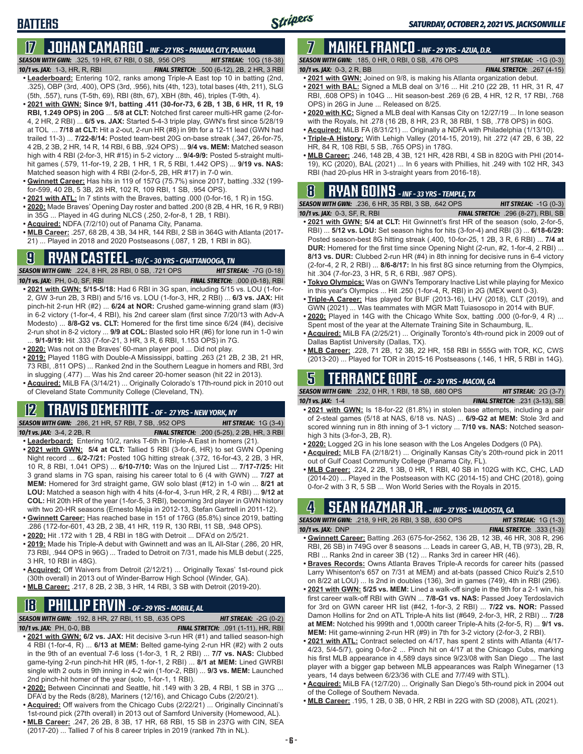## **17 JOHAN CAMARGO** *- INF - 27 YRS - PANAMA CITY, PANAMA*

*SEASON WITH GWN:*.325, 19 HR, 67 RBI, 0 SB, .956 OPS *HIT STREAK:* 10G (18-38)

*10/1 vs. JAX:* 1-3, HR, R, RBI *FINAL STRETCH:* .500 (6-12), 2B, 2 HR, 3 RBI

**BATTERS**

- **• Leaderboard:** Entering 10/2, ranks among Triple-A East top 10 in batting (2nd, .325), OBP (3rd, .400), OPS (3rd, .956), hits (4th, 123), total bases (4th, 211), SLG (5th, .557), runs (T-5th, 69), RBI (8th, 67), XBH (8th, 46), triples (T-9th, 4).
- **• 2021 with GWN: Since 9/1, batting .411 (30-for-73, 6 2B, 1 3B, 6 HR, 11 R, 19 RBI, 1.249 OPS) in 20G** ... **5/8 at CLT:** Notched first career multi-HR game (2-for-4, 2 HR, 2 RBI) ... **6/5 vs. JAX:** Started 5-4-3 triple play, GWN's first since 5/28/19 at TOL ... **7/18 at CLT:** Hit a 2-out, 2-run HR (#8) in 9th for a 12-11 lead (GWN had trailed 11-3) ... **7/22-8/14:** Posted team-best 20G on-base streak (.347, 26-for-75, 4 2B, 2 3B, 2 HR, 14 R, 14 RBI, 6 BB, .924 OPS) ... **9/4 vs. MEM:** Matched season high with 4 RBI (2-for-3, HR #15) in 5-2 victory ... **9/4-9/9:** Posted 5-straight multihit games (.579, 11-for-19, 2 2B, 1 HR, 1 R, 5 RBI, 1.442 OPS) ... **9/19 vs. NAS:** Matched season high with 4 RBI (2-for-5, 2B, HR #17) in 7-0 win.
- **• Gwinnett Career:** Has hits in 119 of 157G (75.7%) since 2017, batting .332 (199 for-599, 40 2B, 5 3B, 28 HR, 102 R, 109 RBI, 1 SB, .954 OPS).
- **• 2021 with ATL:** In 7 stints with the Braves, batting .000 (0-for-16, 1 R) in 15G.
- **• 2020:** Made Braves' Opening Day roster and batted .200 (8 2B, 4 HR, 16 R, 9 RBI) in 35G ... Played in 4G during NLCS (.250, 2-for-8, 1 2B, 1 RBI).
- **• Acquired:** NDFA (7/2/10) out of Panama City, Panama.
- **• MLB Career:** .257, 68 2B, 4 3B, 34 HR, 144 RBI, 2 SB in 364G with Atlanta (2017- 21) ... Played in 2018 and 2020 Postseasons (.087, 1 2B, 1 RBI in 8G).

### **9 RYAN CASTEEL** *- 1B/C - 30 YRS - CHATTANOOGA, TN*

*SEASON WITH GWN:*.224, 8 HR, 28 RBI, 0 SB, .721 OPS *HIT STREAK:* -7G (0-18) *10/1 vs. JAX:*PH, 0-0, SF, RBI *FINAL STRETCH:* .000 (0-18), RBI

- **• 2021 with GWN: 5/15-5/18:** Had 6 RBI in 3G span, including 5/15 vs. LOU (1-for-2, GW 3-run 2B, 3 RBI) and 5/16 vs. LOU (1-for-3, HR, 2 RBI) ... **6/3 vs. JAX:** Hit pinch-hit 2-run HR (#2) ... **6/24 at NOR:** Crushed game-winning grand slam (#3) in 6-2 victory (1-for-4, 4 RBI), his 2nd career slam (first since 7/20/13 with Adv-A Modesto) ... **8/8-G2 vs. CLT:** Homered for the first time since 6/24 (#4), decisive 2-run shot in 8-2 victory ... **9/9 at COL:** Blasted solo HR (#6) for lone run in 1-0 win ... **9/1-9/19:** Hit .333 (7-for-21, 3 HR, 3 R, 6 RBI, 1.153 OPS) in 7G.
- **• 2020:** Was not on the Braves' 60-man player pool ... Did not play.
- **• 2019:** Played 118G with Double-A Mississippi, batting .263 (21 2B, 2 3B, 21 HR, 73 RBI, .811 OPS) ... Ranked 2nd in the Southern League in homers and RBI, 3rd in slugging (.477) ... Was his 2nd career 20-homer season (hit 22 in 2013).
- **• Acquired:** MiLB FA (3/14/21) ... Originally Colorado's 17th-round pick in 2010 out of Cleveland State Community College (Cleveland, TN).

### **12 TRAVIS DEMERITTE** *- OF - 27 YRS - NEW YORK, NY*

*SEASON WITH GWN:*.286, 21 HR, 57 RBI, 7 SB, .952 OPS *HIT STREAK:* 1G (3-4) *10/1 vs. JAX:*3-4, 2 2B, R *FINAL STRETCH:* .200 (5-25), 2 2B, HR, 3 RBI

- **• Leaderboard:** Entering 10/2, ranks T-6th in Triple-A East in homers (21).
- **• 2021 with GWN: 5/4 at CLT:** Tallied 5 RBI (3-for-6, HR) to set GWN Opening Night record ... **6/2-7/21:** Posted 10G hitting streak (.372, 16-for-43, 2 2B, 3 HR, 10 R, 8 RBI, 1.041 OPS) ... **6/10-7/10:** Was on the Injured List ... **7/17-7/25:** Hit 3 grand slams in 7G span, raising his career total to 6 (4 with GWN) ... **7/27 at MEM:** Homered for 3rd straight game, GW solo blast (#12) in 1-0 win ... **8/21 at LOU:** Matched a season high with 4 hits (4-for-4, 3-run HR, 2 R, 4 RBI) ... **9/12 at COL:** Hit 20th HR of the year (1-for-5, 3 RBI), becoming 3rd player in GWN history with two 20-HR seasons (Ernesto Mejia in 2012-13, Stefan Gartrell in 2011-12).
- **• Gwinnett Career:** Has reached base in 151 of 176G (85.8%) since 2019, batting .286 (172-for-601, 43 2B, 2 3B, 41 HR, 119 R, 130 RBI, 11 SB, .948 OPS).
- **• 2020:** Hit .172 with 1 2B, 4 RBI in 18G with Detroit ... DFA'd on 2/5/21.
- **• 2019:** Made his Triple-A debut with Gwinnett and was an IL All-Star (.286, 20 HR, 73 RBI, .944 OPS in 96G) ... Traded to Detroit on 7/31, made his MLB debut (.225, 3 HR, 10 RBI in 48G).
- **• Acquired:** Off Waivers from Detroit (2/12/21) ... Originally Texas' 1st-round pick (30th overall) in 2013 out of Winder-Barrow High School (Winder, GA).
- **• MLB Career:** .217, 8 2B, 2 3B, 3 HR, 14 RBI, 3 SB with Detroit (2019-20).

# **18 PHILLIP ERVIN** *- OF - 29 YRS - MOBILE, AL*

*SEASON WITH GWN:*.192, 8 HR, 27 RBI, 11 SB, .635 OPS *HIT STREAK:* -2G (0-2)

- *10/1 vs. JAX:*PH, 0-0, BB *FINAL STRETCH:* .091 (1-11), HR, RBI **• 2021 with GWN: 6/2 vs. JAX:** Hit decisive 3-run HR (#1) and tallied season-high 4 RBI (1-for-4, R) ... **6/13 at MEM:** Belted game-tying 2-run HR (#2) with 2 outs in the 9th of an eventual 7-6 loss (1-for-3, 1 R, 2 RBI) ... **7/7 vs. NAS:** Clubbed
- game-tying 2-run pinch-hit HR (#5, 1-for-1, 2 RBI) ... **8/1 at MEM:** Lined GWRBI single with 2 outs in 9th inning in 4-2 win (1-for-2, RBI) ... **9/3 vs. MEM:** Launched 2nd pinch-hit homer of the year (solo, 1-for-1, 1 RBI).
- **• 2020:** Between Cincinnati and Seattle, hit .149 with 3 2B, 4 RBI, 1 SB in 37G ... DFA'd by the Reds (8/28), Mariners (12/16), and Chicago Cubs (2/20/21).
- **• Acquired:** Off waivers from the Chicago Cubs (2/22/21) ... Originally Cincinnati's 1st-round pick (27th overall) in 2013 out of Samford University (Homewood, AL).
- **• MLB Career:** .247, 26 2B, 8 3B, 17 HR, 68 RBI, 15 SB in 237G with CIN, SEA (2017-20) ... Tallied 7 of his 8 career triples in 2019 (ranked 7th in NL).

# **7 MAIKEL FRANCO** *- INF - 29 YRS - AZUA, D.R.*

*SEASON WITH GWN:*.185, 0 HR, 0 RBI, 0 SB, .476 OPS *HIT STREAK:* -1G (0-3) *10/1 vs. JAX:*0-3, 2 R, BB *FINAL STRETCH:* .267 (4-15)

- **• 2021 with GWN:** Joined on 9/8, is making his Atlanta organization debut. **• 2021 with BAL:** Signed a MLB deal on 3/16 ... Hit .210 (22 2B, 11 HR, 31 R, 47 RBI, .608 OPS) in 104G ... Hit season-best .269 (6 2B, 4 HR, 12 R, 17 RBI, .768 OPS) in 26G in June ... Released on 8/25.
- **• 2020 with KC:** Signed a MLB deal with Kansas City on 12/27/19 ... In lone season with the Royals, hit .278 (16 2B, 8 HR, 23 R, 38 RBI, 1 SB, .778 OPS) in 60G.
- **• Acquired:** MiLB FA (8/31/21) ... Originally a NDFA with Philadelphia (1/13/10).
- **• Triple-A History:** With Lehigh Valley (2014-15, 2019), hit .272 (47 2B, 6 3B, 22 HR, 84 R, 108 RBI, 5 SB, .765 OPS) in 178G.
- **• MLB Career:** .246, 148 2B, 4 3B, 121 HR, 428 RBI, 4 SB in 820G with PHI (2014- 19), KC (2020), BAL (2021) ... In 6 years with Phillies, hit .249 with 102 HR, 343 RBI (had 20-plus HR in 3-straight years from 2016-18).

# **8 RYAN GOINS** *- INF - 33 YRS - TEMPLE, TX*

*SEASON WITH GWN:*.236, 6 HR, 35 RBI, 3 SB, .642 OPS *HIT STREAK:* -1G (0-3) *10/1 vs. JAX:*0-3, SF, R, RBI *FINAL STRETCH:* .296 (8-27), RBI, SB

- **• 2021 with GWN: 5/4 at CLT:** Hit Gwinnett's first HR of the season (solo, 2-for-5, RBI) ... **5/12 vs. LOU:** Set season highs for hits (3-for-4) and RBI (3) ... **6/18-6/29:** Posted season-best 8G hitting streak (.400, 10-for-25, 1 2B, 3 R, 6 RBI) ... **7/4 at DUR:** Homered for the first time since Opening Night (2-run, #2, 1-for-4, 2 RBI) ... **8/13 vs. DUR:** Clubbed 2-run HR (#4) in 8th inning for decisive runs in 6-4 victory (2-for-4, 2 R, 2 RBI) ... **8/6-8/17:** In his first 8G since returning from the Olympics, hit .304 (7-for-23, 3 HR, 5 R, 6 RBI, .987 OPS).
- **• Tokyo Olympics:** Was on GWN's Temporary Inactive List while playing for Mexico in this year's Olympics ... Hit .250 (1-for-4, R, RBI) in 2G (MEX went 0-3).
- **• Triple-A Career:** Has played for BUF (2013-16), LHV (2018), CLT (2019), and GWN (2021) ... Was teammates with MGR Matt Tuiasosopo in 2014 with BUF.
- **• 2020:** Played in 14G with the Chicago White Sox, batting .000 (0-for-9, 4 R) ... Spent most of the year at the Alternate Training Site in Schaumburg, IL.
- **• Acquired:** MiLB FA (2/25/21) ... Originally Toronto's 4th-round pick in 2009 out of Dallas Baptist University (Dallas, TX).
- **• MLB Career:** .228, 71 2B, 12 3B, 22 HR, 158 RBI in 555G with TOR, KC, CWS (2013-20) ... Played for TOR in 2015-16 Postseasons (.146, 1 HR, 5 RBI in 14G).

### **5 TERRANCE GORE** *- OF - 30 YRS - MACON, GA*

*SEASON WITH GWN:*.232, 0 HR, 1 RBI, 18 SB, .680 OPS *HIT STREAK:* 2G (3-7) *10/1 vs. JAX:*1-4 *FINAL STRETCH:* .231 (3-13), SB

- **• 2021 with GWN:** Is 18-for-22 (81.8%) in stolen base attempts, including a pair of 2-steal games (5/18 at NAS, 6/18 vs. NAS) ... **6/9-G2 at MEM:** Stole 3rd and scored winning run in 8th inning of 3-1 victory ... **7/10 vs. NAS:** Notched seasonhigh 3 hits (3-for-3, 2B, R).
- **• 2020:** Logged 2G in his lone season with the Los Angeles Dodgers (0 PA).
- **• Acquired:** MiLB FA (2/18/21) ... Originally Kansas City's 20th-round pick in 2011 out of Gulf Coast Community College (Panama City, FL).
- **• MLB Career:** .224, 2 2B, 1 3B, 0 HR, 1 RBI, 40 SB in 102G with KC, CHC, LAD (2014-20) ... Played in the Postseason with KC (2014-15) and CHC (2018), going 0-for-2 with 3 R, 5 SB ... Won World Series with the Royals in 2015.

# **4 SEAN KAZMAR JR.** *- INF - 37 YRS - VALDOSTA, GA*

| <b>SEASON WITH GWN: .218, 9 HR, 26 RBI, 3 SB, .630 OPS</b> |  |  | <b>HIT STREAK:</b> $1G(1-3)$     |  |
|------------------------------------------------------------|--|--|----------------------------------|--|
| 10/1 vs. $JAX:$ DNP                                        |  |  | <b>FINAL STRETCH: .333 (1-3)</b> |  |
| - -                                                        |  |  |                                  |  |

- **• Gwinnett Career:** Batting .263 (675-for-2562, 136 2B, 12 3B, 46 HR, 308 R, 296 RBI, 26 SB) in 749G over 8 seasons ... Leads in career G, AB, H, TB (973), 2B, R, RBI ... Ranks 2nd in career 3B (12) ... Ranks 3rd in career HR (46).
- **• Braves Records:** Owns Atlanta Braves Triple-A records for career hits (passed Larry Whisenton's 657 on 7/31 at MEM) and at-bats (passed Chico Ruiz's 2,510 on 8/22 at LOU) ... Is 2nd in doubles (136), 3rd in games (749), 4th in RBI (296).
- **• 2021 with GWN: 5/25 vs. MEM:** Lined a walk-off single in the 9th for a 2-1 win, his first career walk-off RBI with GWN ... **7/8-G1 vs. NAS:** Passed Joey Terdoslavich for 3rd on GWN career HR list (#42, 1-for-3, 2 RBI) ... **7/22 vs. NOR:** Passed Damon Hollins for 2nd on ATL Triple-A hits list (#649, 2-for-3, HR, 2 RBI) ... **7/28 at MEM:** Notched his 999th and 1,000th career Triple-A hits (2-for-5, R) ... **9/1 vs. MEM:** Hit game-winning 2-run HR (#9) in 7th for 3-2 victory (2-for-3, 2 RBI).
- **• 2021 with ATL:** Contract selected on 4/17, has spent 2 stints with Atlanta (4/17- 4/23, 5/4-5/7), going 0-for-2 ... Pinch hit on 4/17 at the Chicago Cubs, marking his first MLB appearance in 4,589 days since 9/23/08 with San Diego ... The last player with a bigger gap between MLB appearances was Ralph Winegarner (13 years, 14 days between 6/23/36 with CLE and 7/7/49 with STL).
- **• Acquired:** MiLB FA (12/7/20) ... Originally San Diego's 5th-round pick in 2004 out of the College of Southern Nevada.
- **• MLB Career:** .195, 1 2B, 0 3B, 0 HR, 2 RBI in 22G with SD (2008), ATL (2021).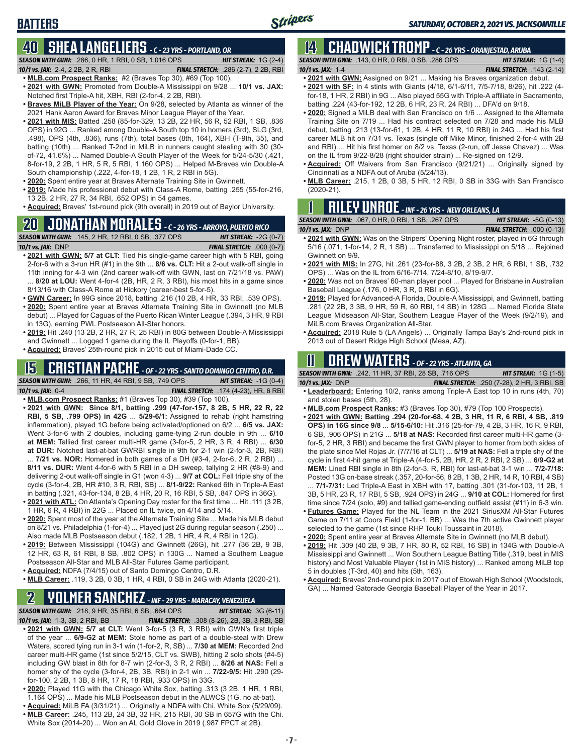# **40 SHEA LANGELIERS** *- C - 23 YRS - PORTLAND, OR*

*SEASON WITH GWN:*.286, 0 HR, 1 RBI, 0 SB, 1.016 OPS *HIT STREAK:* 1G (2-4)

**BATTERS**

*10/1 vs. JAX:*2-4, 2 2B, 2 R, RBI *FINAL STRETCH:* .286 (2-7), 2 2B, RBI

- **• MLB.com Prospect Ranks:** #2 (Braves Top 30), #69 (Top 100). **• 2021 with GWN:** Promoted from Double-A Mississippi on 9/28 ... **10/1 vs. JAX:** Notched first Triple-A hit, XBH, RBI (2-for-4, 2 2B, RBI).
- **• Braves MiLB Player of the Year:** On 9/28, selected by Atlanta as winner of the 2021 Hank Aaron Award for Braves Minor League Player of the Year.
- **• 2021 with MIS:** Batted .258 (85-for-329, 13 2B, 22 HR, 56 R, 52 RBI, 1 SB, .836 OPS) in 92G ... Ranked among Double-A South top 10 in homers (3rd), SLG (3rd, .498), OPS (4th, .836), runs (7th), total bases (8th, 164), XBH (T-9th, 35), and batting (10th) ... Ranked T-2nd in MiLB in runners caught stealing with 30 (30 of-72, 41.6%) ... Named Double-A South Player of the Week for 5/24-5/30 (.421, 8-for-19, 2 2B, 1 HR, 5 R, 5 RBI, 1.160 OPS) ... Helped M-Braves win Double-A South championship (.222, 4-for-18, 1 2B, 1 R, 2 RBI in 5G).
- **• 2020:** Spent entire year at Braves Alternate Training Site in Gwinnett.
- **• 2019:** Made his professional debut with Class-A Rome, batting .255 (55-for-216, 13 2B, 2 HR, 27 R, 34 RBI, .652 OPS) in 54 games.
- **• Acquired:** Braves' 1st-round pick (9th overall) in 2019 out of Baylor University.

# **20 JONATHAN MORALES** *- C - 26 YRS - ARROYO, PUERTO RICO*

*SEASON WITH GWN:*.145, 2 HR, 12 RBI, 0 SB, .377 OPS *HIT STREAK:* -2G (0-7) *10/1 vs. JAX:*DNP *FINAL STRETCH:* .000 (0-7)

**• 2021 with GWN: 5/7 at CLT:** Tied his single-game career high with 5 RBI, going 2-for-6 with a 3-run HR (#1) in the 9th ... **8/6 vs. CLT:** Hit a 2-out walk-off single in

- 11th inning for 4-3 win (2nd career walk-off with GWN, last on 7/21/18 vs. PAW) ... **8/20 at LOU:** Went 4-for-4 (2B, HR, 2 R, 3 RBI), his most hits in a game since 8/13/16 with Class-A Rome at Hickory (career-best 5-for-5).
- **• GWN Career:** In 99G since 2018, batting .216 (10 2B, 4 HR, 33 RBI, .539 OPS).
- **• 2020:** Spent entire year at Braves Alternate Training Site in Gwinnett (no MLB debut) ... Played for Caguas of the Puerto Rican Winter League (.394, 3 HR, 9 RBI in 13G), earning PWL Postseason All-Star honors.
- **• 2019:** Hit .240 (13 2B, 2 HR, 27 R, 25 RBI) in 80G between Double-A Mississippi and Gwinnett ... Logged 1 game during the IL Playoffs (0-for-1, BB).
- **• Acquired:** Braves' 25th-round pick in 2015 out of Miami-Dade CC.

## **15 CRISTIAN PACHE** *- OF - 22 YRS - SANTO DOMINGO CENTRO, D.R.*

*SEASON WITH GWN:*.266, 11 HR, 44 RBI, 9 SB, .749 OPS *HIT STREAK:* -1G (0-4) *10/1 vs. JAX:* 0-4 *FINAL STRETCH:* .174 (4-23), HR, 6 RBI

- **• MLB.com Prospect Ranks:** #1 (Braves Top 30), #39 (Top 100). **• 2021 with GWN: Since 8/1, batting .299 (47-for-157, 8 2B, 5 HR, 22 R, 22 RBI, 5 SB, .799 OPS) in 42G** ... **5/29-6/1:** Assigned to rehab (right hamstring inflammation), played 1G before being activated/optioned on 6/2 ... **6/5 vs. JAX:** Went 3-for-6 with 2 doubles, including game-tying 2-run double in 9th ... **6/10 at MEM:** Tallied first career multi-HR game (3-for-5, 2 HR, 3 R, 4 RBI) ... **6/30 at DUR:** Notched last-at-bat GWRBI single in 9th for 2-1 win (2-for-3, 2B, RBI) ... **7/21 vs. NOR:** Homered in both games of a DH (#3-4, 2-for-6, 2 R, 2 RBI) ...
- **8/11 vs. DUR:** Went 4-for-6 with 5 RBI in a DH sweep, tallying 2 HR (#8-9) and delivering 2-out walk-off single in G1 (won 4-3) ... **9/7 at COL:** Fell triple shy of the cycle (3-for-4, 2B, HR #10, 3 R, RBI, SB) ... **8/1-9/22:** Ranked 6th in Triple-A East in batting (.321, 43-for-134, 8 2B, 4 HR, 20 R, 16 RBI, 5 SB, .847 OPS in 36G).
- **• 2021 with ATL:** On Atlanta's Opening Day roster for the first time ... Hit .111 (3 2B, 1 HR, 6 R, 4 RBI) in 22G ... Placed on IL twice, on 4/14 and 5/14.
- **• 2020:** Spent most of the year at the Alternate Training Site ... Made his MLB debut on 8/21 vs. Philadelphia (1-for-4) ... Played just 2G during regular season (.250) ... Also made MLB Postseason debut (.182, 1 2B, 1 HR, 4 R, 4 RBI in 12G).
- **• 2019:** Between Mississippi (104G) and Gwinnett (26G), hit .277 (36 2B, 9 3B, 12 HR, 63 R, 61 RBI, 8 SB, .802 OPS) in 130G ... Named a Southern League Postseason All-Star and MLB All-Star Futures Game participant.
- **• Acquired:** NDFA (7/4/15) out of Santo Domingo Centro, D.R.
- **• MLB Career:** .119, 3 2B, 0 3B, 1 HR, 4 RBI, 0 SB in 24G with Atlanta (2020-21).

### **2 YOLMER SANCHEZ** *- INF - 29 YRS - MARACAY, VENEZUELA*

*SEASON WITH GWN:*.218, 9 HR, 35 RBI, 6 SB, .664 OPS *HIT STREAK:* 3G (6-11) *10/1 vs. JAX:*1-3, 3B, 2 RBI, BB *FINAL STRETCH:* .308 (8-26), 2B, 3B, 3 RBI, SB **• 2021 with GWN: 5/7 at CLT:** Went 3-for-5 (3 R, 3 RBI) with GWN's first triple of the year ... **6/9-G2 at MEM:** Stole home as part of a double-steal with Drew Waters, scored tying run in 3-1 win (1-for-2, R, SB) ... **7/30 at MEM:** Recorded 2nd career multi-HR game (1st since 5/2/15, CLT vs. SWB), hitting 2 solo shots (#4-5) including GW blast in 8th for 8-7 win (2-for-3, 3 R, 2 RBI) ... **8/26 at NAS:** Fell a homer shy of the cycle (3-for-4, 2B, 3B, RBI) in 2-1 win ... **7/22-9/5:** Hit .290 (29-

- for-100, 2 2B, 1 3B, 8 HR, 17 R, 18 RBI, .933 OPS) in 33G. **• 2020:** Played 11G with the Chicago White Sox, batting .313 (3 2B, 1 HR, 1 RBI, 1.164 OPS) ... Made his MLB Postseason debut in the ALWCS (1G, no at-bat).
- **• Acquired:** MiLB FA (3/31/21) ... Originally a NDFA with Chi. White Sox (5/29/09).
- **• MLB Career:** .245, 113 2B, 24 3B, 32 HR, 215 RBI, 30 SB in 657G with the Chi. White Sox (2014-20) ... Won an AL Gold Glove in 2019 (.987 FPCT at 2B).

# **14 CHADWICK TROMP** *- C - 26 YRS - ORANJESTAD, ARUBA*

*SEASON WITH GWN:*.143, 0 HR, 0 RBI, 0 SB, .286 OPS *HIT STREAK:* 1G (1-4) *10/1 vs. JAX:*1-4 *FINAL STRETCH:* .143 (2-14)

- **• 2021 with GWN:** Assigned on 9/21 ... Making his Braves organization debut.
- **• 2021 with SF:** In 4 stints with Giants (4/18, 6/1-6/11, 7/5-7/18, 8/26), hit .222 (4 for-18, 1 HR, 2 RBI) in 9G ... Also played 55G with Triple-A affiliate in Sacramento, batting .224 (43-for-192, 12 2B, 6 HR, 23 R, 24 RBI) ... DFA'd on 9/18.
- **• 2020:** Signed a MiLB deal with San Francisco on 1/6 ... Assigned to the Alternate Training Site on 7/19 ... Had his contract selected on 7/28 and made his MLB debut, batting .213 (13-for-61, 1 2B, 4 HR, 11 R, 10 RBI) in 24G ... Had his first career MLB hit on 7/31 vs. Texas (single off Mike Minor, finished 2-for-4 with 2B and RBI) ... Hit his first homer on 8/2 vs. Texas (2-run, off Jesse Chavez) ... Was on the IL from 9/22-8/28 (right shoulder strain) ... Re-signed on 12/9.
- **• Acquired:** Off Waivers from San Francisco (9/21/21) ... Originally signed by Cincinnati as a NDFA out of Aruba (5/24/13).
- **• MLB Career:** .215, 1 2B, 0 3B, 5 HR, 12 RBI, 0 SB in 33G with San Francisco (2020-21).

# **1 RILEY UNROE** *- INF - 26 YRS - NEW ORLEANS, LA*

| <b>SEASON WITH GWN: .067, 0 HR, 0 RBI, 1 SB, .267 OPS</b> | <b>HIT STREAK: <math>-5G(0-13)</math></b> |
|-----------------------------------------------------------|-------------------------------------------|
| 10/1 vs. $JAX:$ DNP                                       | <b>FINAL STRETCH: .000 (0-13)</b>         |

- **• 2021 with GWN:** Was on the Stripers' Opening Night roster, played in 6G through 5/16 (.071, 1-for-14, 2 R, 1 SB) ... Transferred to Mississippi on 5/18 ... Rejoined Gwinnett on 9/9.
- **• 2021 with MIS:** In 27G, hit .261 (23-for-88, 3 2B, 2 3B, 2 HR, 6 RBI, 1 SB, .732 OPS) ... Was on the IL from 6/16-7/14, 7/24-8/10, 8/19-9/7.
- **• 2020:** Was not on Braves' 60-man player pool ... Played for Brisbane in Australian Baseball League (.176, 0 HR, 3 R, 0 RBI in 6G).
- **• 2019:** Played for Advanced-A Florida, Double-A Mississippi, and Gwinnett, batting .281 (22 2B, 3 3B, 9 HR, 59 R, 60 RBI, 14 SB) in 128G ... Named Florida State League Midseason All-Star, Southern League Player of the Week (9/2/19), and MiLB.com Braves Organization All-Star.
- **• Acquired:** 2018 Rule 5 (LA Angels) ... Originally Tampa Bay's 2nd-round pick in 2013 out of Desert Ridge High School (Mesa, AZ).

# **11 Drew WATERS** *- OF - 22 YRS - ATLANTA, GA*

*SEASON WITH GWN:*.242, 11 HR, 37 RBI, 28 SB, .716 OPS *HIT STREAK:* 1G (1-5)

*10/1 vs. JAX:*DNP *FINAL STRETCH:* .250 (7-28), 2 HR, 3 RBI, SB **• Leaderboard:** Entering 10/2, ranks among Triple-A East top 10 in runs (4th, 70)

- and stolen bases (5th, 28).
- **• MLB.com Prospect Ranks:** #3 (Braves Top 30), #79 (Top 100 Prospects).
- **• 2021 with GWN: Batting .294 (20-for-68, 4 2B, 3 HR, 11 R, 6 RBI, 4 SB, .819 OPS) in 16G since 9/8** ... **5/15-6/10:** Hit .316 (25-for-79, 4 2B, 3 HR, 16 R, 9 RBI, 6 SB, .906 OPS) in 21G ... **5/18 at NAS:** Recorded first career multi-HR game (3 for-5, 2 HR, 3 RBI) and became the first GWN player to homer from both sides of the plate since Mel Rojas Jr. (7/7/16 at CLT) ... **5/19 at NAS:** Fell a triple shy of the cycle in first 4-hit game at Triple-A (4-for-5, 2B, HR, 2 R, 2 RBI, 2 SB) ... **6/9-G2 at MEM:** Lined RBI single in 8th (2-for-3, R, RBI) for last-at-bat 3-1 win ... **7/2-7/18:** Posted 13G on-base streak (.357, 20-for-56, 8 2B, 1 3B, 2 HR, 14 R, 10 RBI, 4 SB)

... **7/1-7/31:** Led Triple-A East in XBH with 17, batting .301 (31-for-103, 11 2B, 1 3B, 5 HR, 23 R, 17 RBI, 5 SB, .924 OPS) in 24G ... **9/10 at COL:** Homered for first time since 7/24 (solo, #9) and tallied game-ending outfield assist (#11) in 6-3 win.

- **• Futures Game:** Played for the NL Team in the 2021 SiriusXM All-Star Futures Game on 7/11 at Coors Field (1-for-1, BB) ... Was the 7th active Gwinnett player selected to the game (1st since RHP Touki Toussaint in 2018).
- **• 2020:** Spent entire year at Braves Alternate Site in Gwinnett (no MLB debut).
- **• 2019:** Hit .309 (40 2B, 9 3B, 7 HR, 80 R, 52 RBI, 16 SB) in 134G with Double-A Mississippi and Gwinnett ... Won Southern League Batting Title (.319, best in MIS history) and Most Valuable Player (1st in MIS history) ... Ranked among MiLB top 5 in doubles (T-3rd, 40) and hits (5th, 163).
- **• Acquired:** Braves' 2nd-round pick in 2017 out of Etowah High School (Woodstock, GA) ... Named Gatorade Georgia Baseball Player of the Year in 2017.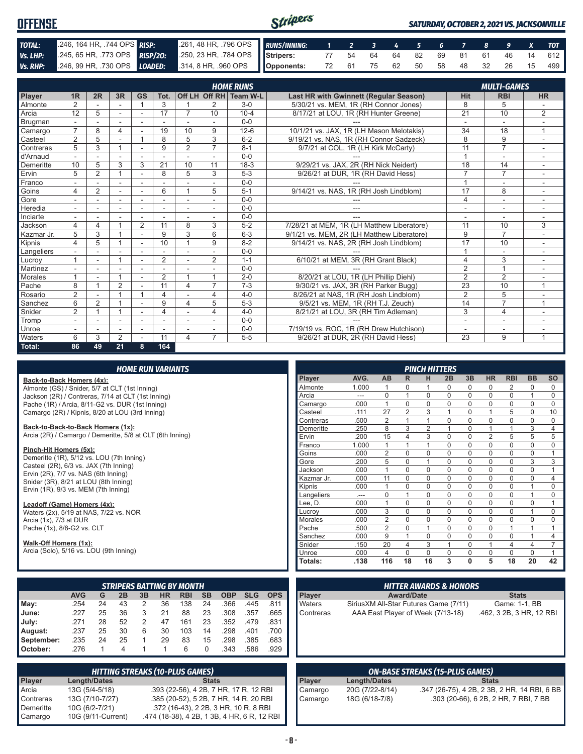| <b>OFFENSE</b> |                                                                                                              |                                                          |  |  |  |  | <b>SATURDAY, OCTOBER 2, 2021 VS. JACKSONVILLE</b> |                                   |
|----------------|--------------------------------------------------------------------------------------------------------------|----------------------------------------------------------|--|--|--|--|---------------------------------------------------|-----------------------------------|
| TOTAL:         | 246, 164 HR, 744 OPS RISP:                                                                                   | 261, 48 HR, 796 OPS RUNS/INNING: 1 2 3 4 5 6 7 8 9 X TOT |  |  |  |  |                                                   |                                   |
| Vs. LHP:       | 245, 65 HR, 773 OPS <b>RISP/20:</b> 250, 23 HR, 784 OPS STIPPERS: 77 54 64 64 82 69 81 61 46 14 612          |                                                          |  |  |  |  |                                                   |                                   |
|                | Vs. RHP: $246, 99$ HR, $.730$ OPS $\boxed{LOADED:}$ $314, 8$ HR, $.960$ OPS $\boxed{\phantom{0}}$ Opponents: |                                                          |  |  |  |  |                                                   | 72 61 75 62 50 58 48 32 26 15 499 |

|            |                |                |                |                          |                |                          |                          | <b>HOME RUNS</b>       |                                               |                          | <b>MULTI-GAMES</b>       |                          |
|------------|----------------|----------------|----------------|--------------------------|----------------|--------------------------|--------------------------|------------------------|-----------------------------------------------|--------------------------|--------------------------|--------------------------|
| Player     | 1R             | 2R             | 3R             | <b>GS</b>                | Tot.           |                          |                          | Off LH Off RH Team W-L | <b>Last HR with Gwinnett (Regular Season)</b> | <b>Hit</b>               | <b>RBI</b>               | <b>HR</b>                |
| Almonte    | $\overline{2}$ |                |                |                          | 3              |                          | 2                        | $3-0$                  | 5/30/21 vs. MEM. 1R (RH Connor Jones)         | 8                        | 5                        |                          |
| Arcia      | 12             | 5              | ٠              | ٠                        | 17             | $\overline{7}$           | 10                       | $10 - 4$               | 8/17/21 at LOU, 1R (RH Hunter Greene)         | 21                       | 10                       | $\overline{2}$           |
| Brugman    |                |                |                | $\overline{\phantom{a}}$ |                | $\overline{\phantom{a}}$ | $\sim$                   | $0 - 0$                |                                               | $\blacksquare$           | $\overline{\phantom{a}}$ |                          |
| Camargo    | $\overline{7}$ | 8              | 4              |                          | 19             | 10                       | 9                        | $12-6$                 | 10/1/21 vs. JAX, 1R (LH Mason Melotakis)      | 34                       | 18                       | 1                        |
| Casteel    | $\overline{2}$ | 5              | ÷.             |                          | 8              | 5                        | 3                        | $6 - 2$                | 9/19/21 vs. NAS. 1R (RH Connor Sadzeck)       | 8                        | 9                        | ÷                        |
| Contreras  | 5              | 3              |                |                          | 9              | $\overline{2}$           | $\overline{7}$           | $8 - 1$                | 9/7/21 at COL, 1R (LH Kirk McCarty)           | 11                       | $\overline{7}$           |                          |
| d'Arnaud   |                |                |                |                          |                |                          |                          | $0 - 0$                |                                               | $\overline{A}$           | ۰                        |                          |
| Demeritte  | 10             | 5              | 3              | 3                        | 21             | 10                       | 11                       | $18-3$                 | 9/29/21 vs. JAX. 2R (RH Nick Neidert)         | 18                       | 14                       | ÷                        |
| Ervin      | 5              | $\overline{2}$ |                | $\overline{\phantom{a}}$ | 8              | 5                        | 3                        | $5-3$                  | 9/26/21 at DUR, 1R (RH David Hess)            | 7                        | $\overline{7}$           | ٠                        |
| Franco     |                |                |                |                          |                |                          |                          | $0 - 0$                |                                               | $\overline{A}$           | $\overline{a}$           |                          |
| Goins      | 4              | $\overline{2}$ | ٠              | ÷                        | 6              | $\overline{1}$           | 5                        | $5 - 1$                | 9/14/21 vs. NAS, 1R (RH Josh Lindblom)        | 17                       | 8                        | ÷.                       |
| Gore       |                |                | ٠              |                          |                | $\overline{\phantom{a}}$ |                          | $0 - 0$                |                                               | $\overline{4}$           | ۰                        | $\sim$                   |
| Heredia    |                |                | ۰              | ۰                        | ۰              | $\overline{\phantom{a}}$ | $\overline{\phantom{a}}$ | $0 - 0$                | ---                                           | $\overline{\phantom{a}}$ | $\overline{\phantom{a}}$ |                          |
| Inciarte   | $\sim$         |                |                |                          |                |                          |                          | $0 - 0$                | ---                                           | ۰                        | ۰                        |                          |
| Jackson    | 4              | 4              |                | $\overline{2}$           | 11             | 8                        | 3                        | $5 - 2$                | 7/28/21 at MEM. 1R (LH Matthew Liberatore)    | 11                       | 10                       | 3                        |
| Kazmar Jr. | 5              | 3              |                |                          | 9              | 3                        | 6                        | $6 - 3$                | 9/1/21 vs. MEM. 2R (LH Matthew Liberatore)    | 9                        | $\overline{7}$           |                          |
| Kipnis     | 4              | 5              |                | $\sim$                   | 10             | 1                        | 9                        | $8 - 2$                | 9/14/21 vs. NAS, 2R (RH Josh Lindblom)        | 17                       | 10                       |                          |
| Langeliers |                |                |                | $\sim$                   |                |                          |                          | $0 - 0$                |                                               |                          | ٠                        |                          |
| Lucrov     |                | ٠              |                | ٠                        | $\overline{2}$ | $\overline{\phantom{a}}$ | 2                        | $1 - 1$                | 6/10/21 at MEM, 3R (RH Grant Black)           | 4                        | 3                        | $\overline{\phantom{a}}$ |
| Martinez   |                |                |                | ٠                        |                |                          |                          | $0 - 0$                |                                               | $\overline{2}$           | $\overline{1}$           |                          |
| Morales    |                |                |                | $\overline{\phantom{a}}$ | $\overline{2}$ | $\overline{1}$           | $\overline{A}$           | $2 - 0$                | 8/20/21 at LOU, 1R (LH Phillip Diehl)         | $\overline{2}$           | $\overline{2}$           |                          |
| Pache      | 8              |                | $\overline{2}$ | $\sim$                   | 11             | 4                        |                          | $7 - 3$                | 9/30/21 vs. JAX, 3R (RH Parker Bugg)          | $\overline{23}$          | 10                       |                          |
| Rosario    | $\overline{2}$ |                | и              | $\overline{ }$           | 4              |                          | 4                        | $4 - 0$                | 8/26/21 at NAS, 1R (RH Josh Lindblom)         | $\overline{2}$           | 5                        |                          |
| Sanchez    | 6              | 2              |                |                          | 9              | 4                        | 5                        | $5-3$                  | 9/5/21 vs. MEM, 1R (RH T.J. Zeuch)            | 14                       | $\overline{7}$           | 1                        |
| Snider     | $\overline{2}$ |                |                | $\sim$                   | 4              |                          | 4                        | $4 - 0$                | 8/21/21 at LOU, 3R (RH Tim Adleman)           | 3                        | 4                        |                          |
| Tromp      | $\sim$         |                | ۰              | ۰                        | ۰              |                          |                          | $0 - 0$                |                                               | ٠                        | ۰                        |                          |
| Unroe      |                |                |                | ۰                        |                |                          |                          | $0 - 0$                | 7/19/19 vs. ROC, 1R (RH Drew Hutchison)       | Ĭ.                       | ٠                        |                          |
| Waters     | 6              | 3              | $\overline{2}$ |                          | 11             | 4                        | 7                        | $5 - 5$                | 9/26/21 at DUR. 2R (RH David Hess)            | $\overline{23}$          | 9                        | 1                        |
| Total:     | 86             | 49             | 21             | 8                        | 164            |                          |                          |                        |                                               |                          |                          |                          |

#### *HOME RUN VARIANTS*

#### **Back-to-Back Homers (4x):**

Almonte (GS) / Snider, 5/7 at CLT (1st Inning) Jackson (2R) / Contreras, 7/14 at CLT (1st Inning) Pache (1R) / Arcia, 8/11-G2 vs. DUR (1st Inning) Camargo (2R) / Kipnis, 8/20 at LOU (3rd Inning)

#### **Back-to-Back-to-Back Homers (1x):**

Arcia (2R) / Camargo / Demeritte, 5/8 at CLT (6th Inning)

#### **Pinch-Hit Homers (5x):**

Demeritte (1R), 5/12 vs. LOU (7th Inning) Casteel (2R), 6/3 vs. JAX (7th Inning) Ervin (2R), 7/7 vs. NAS (6th Inning) Snider (3R), 8/21 at LOU (8th Inning) Ervin (1R), 9/3 vs. MEM (7th Inning)

#### **Leadoff (Game) Homers (4x):**

Waters (2x), 5/19 at NAS, 7/22 vs. NOR Arcia (1x), 7/3 at DUR Pache (1x), 8/8-G2 vs. CLT

#### **Walk-Off Homers (1x):**

Arcia (Solo), 5/16 vs. LOU (9th Inning)

|              |            |    |    |                |           | <b>STRIPERS BATTING BY MONTH</b> |           |            |            |            |
|--------------|------------|----|----|----------------|-----------|----------------------------------|-----------|------------|------------|------------|
|              | <b>AVG</b> | G  | 2B | 3B             | <b>HR</b> | <b>RBI</b>                       | <b>SB</b> | <b>OBP</b> | <b>SLG</b> | <b>OPS</b> |
| $M$ ay:      | .254       | 24 | 43 | 2              | 36        | 138                              | 24        | .366       | .445       | .811       |
| <b>June:</b> | .227       | 25 | 36 | 3              | 21        | 88                               | 23        | .308       | .357       | .665       |
| July:        | .271       | 28 | 52 | $\overline{2}$ | 47        | 161                              | 23        | .352       | .479       | .831       |
| August:      | .237       | 25 | 30 | 6              | 30        | 103                              | 14        | .298       | .401       | .700       |
| September:   | .235       | 24 | 25 |                | 29        | 83                               | 15        | .298       | .385       | .683       |
| October:     | .276       |    | 4  |                |           | 6                                | 0         | .343       | .586       | .929       |

|               | <b>HITTING STREAKS (10-PLUS GAMES)</b> |                                             |  |  |  |  |  |  |  |  |
|---------------|----------------------------------------|---------------------------------------------|--|--|--|--|--|--|--|--|
| <b>Player</b> | <b>Length/Dates</b>                    | <b>Stats</b>                                |  |  |  |  |  |  |  |  |
| Arcia         | 13G (5/4-5/18)                         | .393 (22-56), 4 2B, 7 HR, 17 R, 12 RBI      |  |  |  |  |  |  |  |  |
| Contreras     | 13G (7/10-7/27)                        | .385 (20-52), 5 2B, 7 HR, 14 R, 20 RBI      |  |  |  |  |  |  |  |  |
| Demeritte     | 10G (6/2-7/21)                         | .372 (16-43), 2 2B, 3 HR, 10 R, 8 RBI       |  |  |  |  |  |  |  |  |
| Camargo       | 10G (9/11-Current)                     | .474 (18-38), 4 2B, 1 3B, 4 HR, 6 R, 12 RBI |  |  |  |  |  |  |  |  |

|                |       |                |                | <b>PINCH HITTERS</b> |          |             |                |                |                |                |
|----------------|-------|----------------|----------------|----------------------|----------|-------------|----------------|----------------|----------------|----------------|
| Player         | AVG.  | AB             | R              | н                    | 2B       | 3B          | <b>HR</b>      | <b>RBI</b>     | <b>BB</b>      | <b>SO</b>      |
| Almonte        | 1.000 | 1              | $\Omega$       | 1                    | $\Omega$ | $\Omega$    | $\Omega$       | 2              | $\Omega$       | 0              |
| Arcia          | ---   | 0              | 1              | $\mathbf 0$          | $\Omega$ | 0           | 0              | 0              | 1              | 0              |
| Camargo        | .000  | 1              | $\Omega$       | $\Omega$             | $\Omega$ | $\mathbf 0$ | $\mathbf 0$    | $\mathbf 0$    | $\Omega$       | $\Omega$       |
| Casteel        | .111  | 27             | $\overline{2}$ | 3                    | 1        | $\Omega$    | 1              | 5              | $\Omega$       | 10             |
| Contreras      | .500  | $\overline{2}$ | 1              | 1                    | $\Omega$ | $\Omega$    | $\Omega$       | 0              | $\Omega$       | 0              |
| Demeritte      | .250  | 8              | 3              | $\overline{2}$       | 1        | $\Omega$    | 1              | 1              | 3              | 4              |
| Ervin          | .200  | 15             | $\overline{4}$ | 3                    | $\Omega$ | $\Omega$    | $\overline{2}$ | 5              | 5              | 5              |
| Franco         | 1.000 | 1              | 1              | 1                    | $\Omega$ | $\mathbf 0$ | $\mathbf 0$    | $\mathbf 0$    | $\mathbf 0$    | $\mathbf 0$    |
| Goins          | .000  | $\overline{2}$ | $\Omega$       | $\Omega$             | $\Omega$ | $\Omega$    | $\Omega$       | $\Omega$       | $\Omega$       | 1              |
| Gore           | .200  | 5              | $\Omega$       | 1                    | $\Omega$ | $\Omega$    | $\Omega$       | $\mathbf 0$    | 3              | 3              |
| Jackson        | .000  | 1              | $\Omega$       | $\Omega$             | $\Omega$ | $\Omega$    | $\Omega$       | $\Omega$       | $\Omega$       | 1              |
| Kazmar Jr.     | .000  | 11             | $\Omega$       | $\Omega$             | $\Omega$ | $\Omega$    | $\Omega$       | $\Omega$       | $\Omega$       | $\overline{4}$ |
| Kipnis         | .000  | 1              | $\Omega$       | $\Omega$             | $\Omega$ | $\Omega$    | $\Omega$       | $\Omega$       | 1              | 0              |
| Langeliers     |       | $\mathbf 0$    | 1              | $\Omega$             | $\Omega$ | $\mathbf 0$ | $\mathbf 0$    | $\mathbf 0$    | 1              | 0              |
| Lee, D.        | .000  | 1              | $\Omega$       | $\Omega$             | $\Omega$ | $\Omega$    | $\Omega$       | $\Omega$       | $\Omega$       | 1              |
| Lucroy         | .000  | 3              | $\Omega$       | $\Omega$             | $\Omega$ | $\Omega$    | $\Omega$       | $\mathbf 0$    | 1              | 0              |
| <b>Morales</b> | .000  | $\overline{2}$ | $\Omega$       | $\Omega$             | $\Omega$ | $\Omega$    | $\Omega$       | $\Omega$       | $\Omega$       | $\mathbf 0$    |
| Pache          | .500  | $\overline{2}$ | $\Omega$       | 1                    | $\Omega$ | $\Omega$    | $\Omega$       | 1              | 1              | 1              |
| Sanchez        | .000  | 9              | 1              | $\Omega$             | $\Omega$ | $\Omega$    | $\mathbf 0$    | $\Omega$       | 1              | $\overline{4}$ |
| Snider         | .150  | 20             | $\overline{4}$ | 3                    | 1        | $\Omega$    | 1              | $\overline{4}$ | $\overline{4}$ | 7              |
| Unroe          | .000  | 4              | $\Omega$       | $\Omega$             | $\Omega$ | $\Omega$    | $\Omega$       | $\Omega$       | $\Omega$       | 1              |
| <b>Totals:</b> | .138  | 116            | 18             | 16                   | 3        | 0           | 5              | 18             | 20             | 42             |

|               | <b>HITTER AWARDS &amp; HONORS</b>      |                          |
|---------------|----------------------------------------|--------------------------|
| <b>Player</b> | <b>Award/Date</b>                      | <b>Stats</b>             |
| <b>Waters</b> | Sirius XM All-Star Futures Game (7/11) | Game: 1-1, BB            |
| Contreras     | AAA East Player of Week (7/13-18)      | .462, 3 2B, 3 HR, 12 RBI |

| ON-BASE STREAKS (15-PLUS GAMES) |                 |                                              |  |  |  |  |  |  |  |  |
|---------------------------------|-----------------|----------------------------------------------|--|--|--|--|--|--|--|--|
| <b>Player</b>                   | Length/Dates    | <b>Stats</b>                                 |  |  |  |  |  |  |  |  |
| Camargo                         | 20G (7/22-8/14) | .347 (26-75), 4 2B, 2 3B, 2 HR, 14 RBI, 6 BB |  |  |  |  |  |  |  |  |
| Camargo                         | 18G (6/18-7/8)  | .303 (20-66), 6 2B, 2 HR, 7 RBI, 7 BB        |  |  |  |  |  |  |  |  |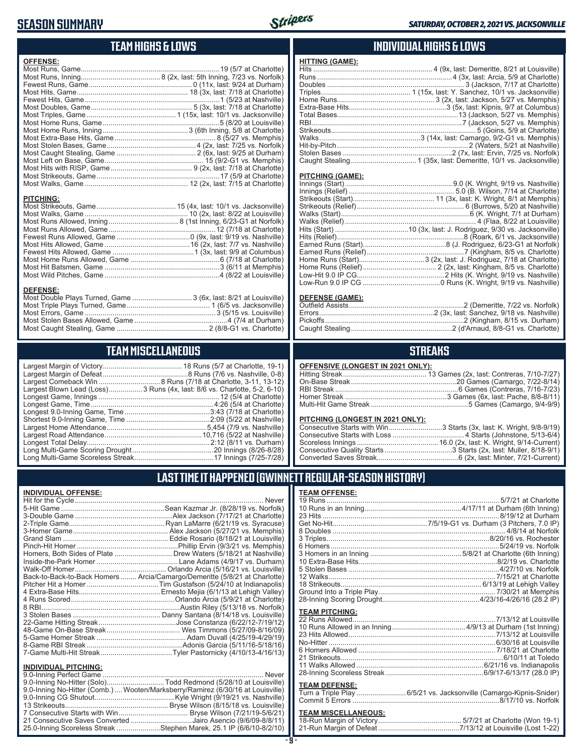### **SEASON SUMMARY**



#### **TEAM HIGHS & LOWS**

| <b>OFFENSE:</b>  |  |
|------------------|--|
|                  |  |
|                  |  |
|                  |  |
|                  |  |
|                  |  |
|                  |  |
|                  |  |
|                  |  |
|                  |  |
|                  |  |
|                  |  |
|                  |  |
|                  |  |
|                  |  |
|                  |  |
|                  |  |
| <b>PITCHING:</b> |  |
|                  |  |
|                  |  |
|                  |  |
|                  |  |
|                  |  |
|                  |  |
|                  |  |
|                  |  |
|                  |  |

#### **DEFENSE:**

| Most Double Plays Turned, Game  3 (6x, last: 8/21 at Louisville) |  |
|------------------------------------------------------------------|--|
|                                                                  |  |
|                                                                  |  |
|                                                                  |  |
|                                                                  |  |
|                                                                  |  |

Most Wild Pitches, Game ..........................................................4 (8/22 at Louisville)

#### **TEAM MISCELLANEOUS**

| Largest Blown Lead (Loss)3 Runs (4x, last: 8/6 vs. Charlotte, 5-2, 6-10) |
|--------------------------------------------------------------------------|
|                                                                          |
| Longest Game, Time……………………………………………………4:26 (5/4 at Charlotte)            |
| Longest 9.0-Inning Game, Time……………………………………3:43 (7/18 at Charlotte)      |
|                                                                          |
|                                                                          |
|                                                                          |
|                                                                          |
|                                                                          |
|                                                                          |
|                                                                          |

### **INDIVIDUAL HIGHS & LOWS**

| <b>HITTING (GAME):</b> |  |
|------------------------|--|
|                        |  |
|                        |  |
|                        |  |
|                        |  |
|                        |  |
|                        |  |
|                        |  |
|                        |  |
|                        |  |
|                        |  |
|                        |  |
|                        |  |
|                        |  |
|                        |  |

#### **PITCHING (GAME):**

#### **DEFENSE (GAME):**

#### **STREAKS**

#### **OFFENSIVE (LONGEST IN 2021 ONLY):**

#### **PITCHING (LONGEST IN 2021 ONLY):**

| Consecutive Starts with Win3 Starts (3x, last: K. Wright, 9/8-9/19) |
|---------------------------------------------------------------------|
|                                                                     |
|                                                                     |
|                                                                     |
|                                                                     |

19 Runs ....................................................................................... 5/7/21 at Charlotte 10 Runs in an Inning.................................................4/17/11 at Durham (6th Inning) 23 Hits .........................................................................................8/19/12 at Durham Get No-Hit................................................7/5/19-G1 vs. Durham (3 Pitchers, 7.0 IP) 8 Doubles ....................................................................................... 4/8/14 at Norfolk 3 Triples..................................................................................8/20/16 vs. Rochester 6 Homers.....................................................................................5/24/19 vs. Norfolk 3 Homers in an Inning ..............................................5/8/21 at Charlotte (6th Inning)

#### **LAST TIME IT HAPPENED (GWINNETT REGULAR-SEASON HISTORY)**

#### **INDIVIDUAL OFFENSE:**

|                             | Homers, Both Sides of Plate  Drew Waters (5/18/21 at Nashville)            |
|-----------------------------|----------------------------------------------------------------------------|
|                             |                                                                            |
|                             |                                                                            |
|                             | Back-to-Back-to-Back Homers  Arcia/Camargo/Demeritte (5/8/21 at Charlotte) |
|                             |                                                                            |
|                             |                                                                            |
|                             |                                                                            |
|                             |                                                                            |
|                             |                                                                            |
|                             |                                                                            |
|                             |                                                                            |
|                             |                                                                            |
|                             |                                                                            |
|                             |                                                                            |
| <b>INDIVIDUAL PITCHING:</b> |                                                                            |
|                             | $\cdots$                                                                   |

| 9.0-Inning No-Hitter (Comb.) Wooten/Marksberry/Ramirez (6/30/16 at Louisville) |  |
|--------------------------------------------------------------------------------|--|
|                                                                                |  |
|                                                                                |  |
|                                                                                |  |
| 21 Consecutive Saves Converted Jairo Asencio (9/6/09-8/8/11)                   |  |
| 25.0-Inning Scoreless Streak Stephen Marek, 25.1 IP (6/6/10-8/2/10)            |  |
|                                                                                |  |

#### **- 9 -**

| <b>TEAM PITCHING:</b> |  |
|-----------------------|--|
|                       |  |
|                       |  |
|                       |  |
|                       |  |
|                       |  |

#### **TEAM DEFENSE:**

| $1 - 2111 - 2 - 1 - 112 - 1$ |                                                                    |
|------------------------------|--------------------------------------------------------------------|
|                              | Turn a Triple Play 6/5/21 vs. Jacksonville (Camargo-Kipnis-Snider) |
|                              |                                                                    |

### **TEAM MISCELLANEOUS:**<br>18-Run Margin of Victory....

| 21-Run Margin of Defeat…………………………………7/13/12 at Louisville (Lost 1-22) |
|-----------------------------------------------------------------------|

| Converted Saves Streak   |
|--------------------------|
|                          |
| 'T RECIII AR-QEAQAN HIQT |

# **TEAM OFFENSE:**

| ın Margın | o |
|-----------|---|
|           |   |